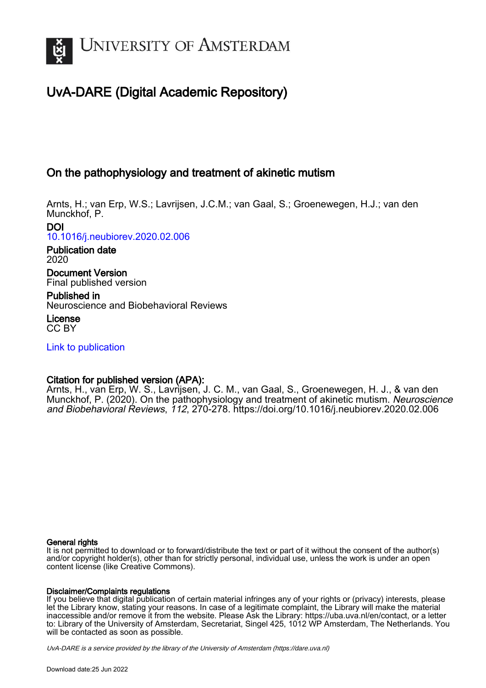

# UvA-DARE (Digital Academic Repository)

# On the pathophysiology and treatment of akinetic mutism

Arnts, H.; van Erp, W.S.; Lavrijsen, J.C.M.; van Gaal, S.; Groenewegen, H.J.; van den Munckhof, P.

DOI [10.1016/j.neubiorev.2020.02.006](https://doi.org/10.1016/j.neubiorev.2020.02.006)

Publication date 2020

Document Version Final published version

Published in Neuroscience and Biobehavioral Reviews

License CC BY

[Link to publication](https://dare.uva.nl/personal/pure/en/publications/on-the-pathophysiology-and-treatment-of-akinetic-mutism(c438b878-4d5b-4f13-887c-7f01df095324).html)

# Citation for published version (APA):

Arnts, H., van Erp, W. S., Lavrijsen, J. C. M., van Gaal, S., Groenewegen, H. J., & van den Munckhof, P. (2020). On the pathophysiology and treatment of akinetic mutism. Neuroscience and Biobehavioral Reviews, 112, 270-278. <https://doi.org/10.1016/j.neubiorev.2020.02.006>

# General rights

It is not permitted to download or to forward/distribute the text or part of it without the consent of the author(s) and/or copyright holder(s), other than for strictly personal, individual use, unless the work is under an open content license (like Creative Commons).

# Disclaimer/Complaints regulations

If you believe that digital publication of certain material infringes any of your rights or (privacy) interests, please let the Library know, stating your reasons. In case of a legitimate complaint, the Library will make the material inaccessible and/or remove it from the website. Please Ask the Library: https://uba.uva.nl/en/contact, or a letter to: Library of the University of Amsterdam, Secretariat, Singel 425, 1012 WP Amsterdam, The Netherlands. You will be contacted as soon as possible.

UvA-DARE is a service provided by the library of the University of Amsterdam (http*s*://dare.uva.nl)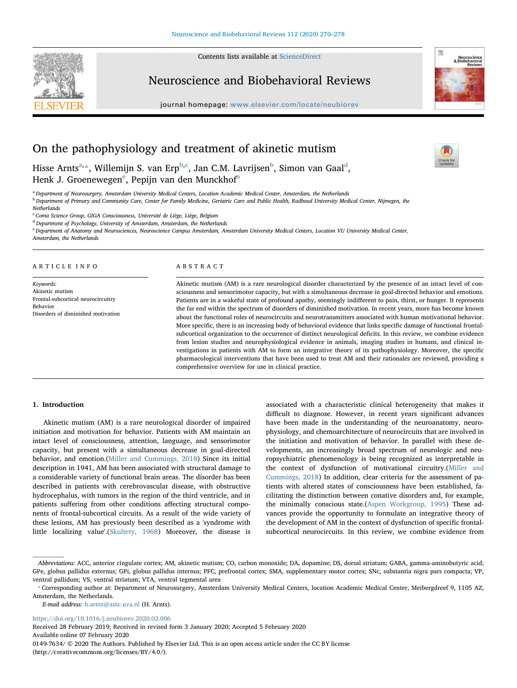Contents lists available at [ScienceDirect](http://www.sciencedirect.com/science/journal/01497634)

# Neuroscience and Biobehavioral Reviews

journal homepage: [www.elsevier.com/locate/neubiorev](https://www.elsevier.com/locate/neubiorev)



 $\frac{N}{2}$ 

# On the pathophysiology and treatment of akinetic mutism

Hisse Arnts $^{\rm a, \star}$  $^{\rm a, \star}$  $^{\rm a, \star}$ , Willemijn S. van Erp $^{\rm b, c}$  $^{\rm b, c}$  $^{\rm b, c}$ , Jan C.M. Lavrijsen $^{\rm b}$ , Simon van Gaal $^{\rm d}$  $^{\rm d}$  $^{\rm d}$ , H[e](#page-1-5)nk J. Groenewegen<sup>e</sup>, Pepijn v[a](#page-1-0)n den Munckhof<sup>a</sup>

<span id="page-1-0"></span><sup>a</sup> Department of Neurosurgery, Amsterdam University Medical Centers, Location Academic Medical Center, Amsterdam, the Netherlands

<span id="page-1-2"></span><sup>b</sup> Department of Primary and Community Care, Center for Family Medicine, Geriatric Care and Public Health, Radboud University Medical Center, Nijmegen, the

**Netherlands** 

<span id="page-1-3"></span><sup>c</sup> Coma Science Group, GIGA Consciousness, Université de Liège, Liège, Belgium

<span id="page-1-4"></span><sup>d</sup> Department of Psychology, University of Amsterdam, Amsterdam, the Netherlands

<span id="page-1-5"></span><sup>e</sup> Department of Anatomy and Neurosciences, Neuroscience Campus Amsterdam, Amsterdam University Medical Centers, Location VU University Medical Center,

Amsterdam, the Netherlands

### ARTICLE INFO

Keywords: Akinetic mutism Frontal-subcortical neurocircuitry Behavior Disorders of diminished motivation

# ABSTRACT

Akinetic mutism (AM) is a rare neurological disorder characterized by the presence of an intact level of consciousness and sensorimotor capacity, but with a simultaneous decrease in goal-directed behavior and emotions. Patients are in a wakeful state of profound apathy, seemingly indifferent to pain, thirst, or hunger. It represents the far end within the spectrum of disorders of diminished motivation. In recent years, more has become known about the functional roles of neurocircuits and neurotransmitters associated with human motivational behavior. More specific, there is an increasing body of behavioral evidence that links specific damage of functional frontalsubcortical organization to the occurrence of distinct neurological deficits. In this review, we combine evidence from lesion studies and neurophysiological evidence in animals, imaging studies in humans, and clinical investigations in patients with AM to form an integrative theory of its pathophysiology. Moreover, the specific pharmacological interventions that have been used to treat AM and their rationales are reviewed, providing a comprehensive overview for use in clinical practice.

# 1. Introduction

Akinetic mutism (AM) is a rare neurological disorder of impaired initiation and motivation for behavior. Patients with AM maintain an intact level of consciousness, attention, language, and sensorimotor capacity, but present with a simultaneous decrease in goal-directed behavior, and emotion.[\(Miller and Cummings, 2018](#page-8-0)) Since its initial description in 1941, AM has been associated with structural damage to a considerable variety of functional brain areas. The disorder has been described in patients with cerebrovascular disease, with obstructive hydrocephalus, with tumors in the region of the third ventricle, and in patients suffering from other conditions affecting structural components of frontal-subcortical circuits. As a result of the wide variety of these lesions, AM has previously been described as a 'syndrome with little localizing value'.([Skultety, 1968](#page-8-1)) Moreover, the disease is

associated with a characteristic clinical heterogeneity that makes it difficult to diagnose. However, in recent years significant advances have been made in the understanding of the neuroanatomy, neurophysiology, and chemoarchitecture of neurocircuits that are involved in the initiation and motivation of behavior. In parallel with these developments, an increasingly broad spectrum of neurologic and neuropsychiatric phenomenology is being recognized as interpretable in the context of dysfunction of motivational circuitry.[\(Miller and](#page-8-0) [Cummings, 2018](#page-8-0)) In addition, clear criteria for the assessment of patients with altered states of consciousness have been established, facilitating the distinction between conative disorders and, for example, the minimally conscious state.[\(Aspen Workgroup, 1995\)](#page-7-0) These advances provide the opportunity to formulate an integrative theory of the development of AM in the context of dysfunction of specific frontalsubcortical neurocircuits. In this review, we combine evidence from

E-mail address: [h.arnts@amc.uva.nl](mailto:h.arnts@amc.uva.nl) (H. Arnts).

<https://doi.org/10.1016/j.neubiorev.2020.02.006>

Received 28 February 2019; Received in revised form 3 January 2020; Accepted 5 February 2020 Available online 07 February 2020 0149-7634/ © 2020 The Authors. Published by Elsevier Ltd. This is an open access article under the CC BY license (http://creativecommons.org/licenses/BY/4.0/).

Abbreviations: ACC, anterior cingulate cortex; AM, akinetic mutism; CO, carbon monoxide; DA, dopamine; DS, dorsal striatum; GABA, gamma-aminobutyric acid; GPe, globus pallidus externus; GPi, globus pallidus internus; PFC, prefrontal cortex; SMA, supplementary motor cortex; SNc, substantia nigra pars compacta; VP, ventral pallidum; VS, ventral striatum; VTA, ventral tegmental area

<span id="page-1-1"></span><sup>⁎</sup> Corresponding author at: Department of Neurosurgery, Amsterdam University Medical Centers, location Academic Medical Center, Meibergdreef 9, 1105 AZ, Amsterdam, the Netherlands.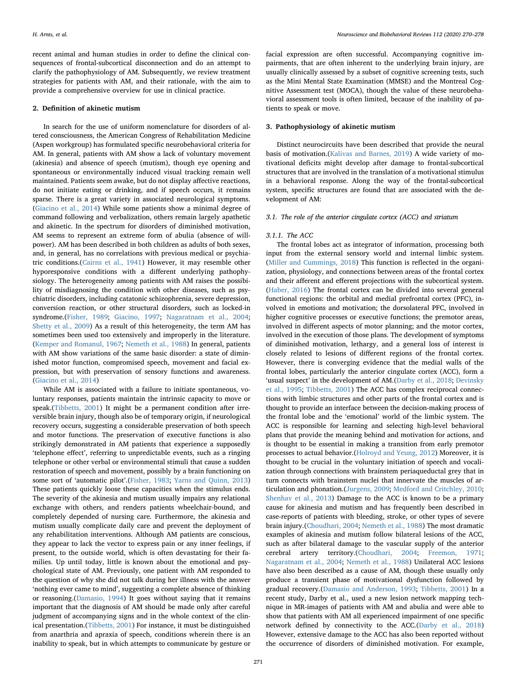recent animal and human studies in order to define the clinical consequences of frontal-subcortical disconnection and do an attempt to clarify the pathophysiology of AM. Subsequently, we review treatment strategies for patients with AM, and their rationale, with the aim to provide a comprehensive overview for use in clinical practice.

### 2. Definition of akinetic mutism

In search for the use of uniform nomenclature for disorders of altered consciousness, the American Congress of Rehabilitation Medicine (Aspen workgroup) has formulated specific neurobehavioral criteria for AM. In general, patients with AM show a lack of voluntary movement (akinesia) and absence of speech (mutism), though eye opening and spontaneous or environmentally induced visual tracking remain well maintained. Patients seem awake, but do not display affective reactions, do not initiate eating or drinking, and if speech occurs, it remains sparse. There is a great variety in associated neurological symptoms. ([Giacino et al., 2014](#page-8-2)) While some patients show a minimal degree of command following and verbalization, others remain largely apathetic and akinetic. In the spectrum for disorders of diminished motivation, AM seems to represent an extreme form of abulia (absence of willpower). AM has been described in both children as adults of both sexes, and, in general, has no correlations with previous medical or psychiatric conditions.([Cairns et al., 1941\)](#page-7-1) However, it may resemble other hyporesponsive conditions with a different underlying pathophysiology. The heterogeneity among patients with AM raises the possibility of misdiagnosing the condition with other diseases, such as psychiatric disorders, including catatonic schizophrenia, severe depression, conversion reaction, or other structural disorders, such as locked-in syndrome.[\(Fisher, 1989](#page-7-2); [Giacino, 1997](#page-8-3); [Nagaratnam et al., 2004](#page-8-4); [Shetty et al., 2009\)](#page-8-5) As a result of this heterogeneity, the term AM has sometimes been used too extensively and improperly in the literature. ([Kemper and Romanul, 1967](#page-8-6); [Nemeth et al., 1988](#page-8-7)) In general, patients with AM show variations of the same basic disorder: a state of diminished motor function, compromised speech, movement and facial expression, but with preservation of sensory functions and awareness. ([Giacino et al., 2014](#page-8-2))

While AM is associated with a failure to initiate spontaneous, voluntary responses, patients maintain the intrinsic capacity to move or speak.([Tibbetts, 2001](#page-9-0)) It might be a permanent condition after irreversible brain injury, though also be of temporary origin, if neurological recovery occurs, suggesting a considerable preservation of both speech and motor functions. The preservation of executive functions is also strikingly demonstrated in AM patients that experience a supposedly 'telephone effect', referring to unpredictable events, such as a ringing telephone or other verbal or environmental stimuli that cause a sudden restoration of speech and movement, possibly by a brain functioning on some sort of 'automatic pilot'.[\(Fisher, 1983](#page-7-3); [Yarns and Quinn, 2013\)](#page-9-1) These patients quickly loose these capacities when the stimulus ends. The severity of the akinesia and mutism usually impairs any relational exchange with others, and renders patients wheelchair-bound, and completely depended of nursing care. Furthermore, the akinesia and mutism usually complicate daily care and prevent the deployment of any rehabilitation interventions. Although AM patients are conscious, they appear to lack the vector to express pain or any inner feelings, if present, to the outside world, which is often devastating for their families. Up until today, little is known about the emotional and psychological state of AM. Previously, one patient with AM responded to the question of why she did not talk during her illness with the answer 'nothing ever came to mind', suggesting a complete absence of thinking or reasoning.[\(Damasio, 1994](#page-7-4)) It goes without saying that it remains important that the diagnosis of AM should be made only after careful judgment of accompanying signs and in the whole context of the clinical presentation.[\(Tibbetts, 2001](#page-9-0)) For instance, it must be distinguished from anarthria and apraxia of speech, conditions wherein there is an inability to speak, but in which attempts to communicate by gesture or

facial expression are often successful. Accompanying cognitive impairments, that are often inherent to the underlying brain injury, are usually clinically assessed by a subset of cognitive screening tests, such as the Mini Mental State Examination (MMSE) and the Montreal Cognitive Assessment test (MOCA), though the value of these neurobehavioral assessment tools is often limited, because of the inability of patients to speak or move.

# 3. Pathophysiology of akinetic mutism

Distinct neurocircuits have been described that provide the neural basis of motivation.([Kalivas and Barnes, 2019\)](#page-8-8) A wide variety of motivational deficits might develop after damage to frontal-subcortical structures that are involved in the translation of a motivational stimulus in a behavioral response. Along the way of the frontal-subcortical system, specific structures are found that are associated with the development of AM:

#### 3.1. The role of the anterior cingulate cortex (ACC) and striatum

#### 3.1.1. The ACC

The frontal lobes act as integrator of information, processing both input from the external sensory world and internal limbic system. ([Miller and Cummings, 2018](#page-8-0)) This function is reflected in the organization, physiology, and connections between areas of the frontal cortex and their afferent and efferent projections with the subcortical system. ([Haber, 2016\)](#page-8-9) The frontal cortex can be divided into several general functional regions: the orbital and medial prefrontal cortex (PFC), involved in emotions and motivation; the dorsolateral PFC, involved in higher cognitive processes or executive functions; the premotor areas, involved in different aspects of motor planning; and the motor cortex, involved in the execution of those plans. The development of symptoms of diminished motivation, lethargy, and a general loss of interest is closely related to lesions of different regions of the frontal cortex. However, there is converging evidence that the medial walls of the frontal lobes, particularly the anterior cingulate cortex (ACC), form a 'usual suspect' in the development of AM.[\(Darby et al., 2018;](#page-7-5) [Devinsky](#page-7-6) [et al., 1995;](#page-7-6) [Tibbetts, 2001\)](#page-9-0) The ACC has complex reciprocal connections with limbic structures and other parts of the frontal cortex and is thought to provide an interface between the decision-making process of the frontal lobe and the 'emotional' world of the limbic system. The ACC is responsible for learning and selecting high-level behavioral plans that provide the meaning behind and motivation for actions, and is thought to be essential in making a transition from early premotor processes to actual behavior.([Holroyd and Yeung, 2012](#page-8-10)) Moreover, it is thought to be crucial in the voluntary initiation of speech and vocalization through connections with brainstem periaqueductal grey that in turn connects with brainstem nuclei that innervate the muscles of articulation and phonation.[\(Jurgens, 2009;](#page-8-11) [Medford and Critchley, 2010](#page-8-12); [Shenhav et al., 2013](#page-8-13)) Damage to the ACC is known to be a primary cause for akinesia and mutism and has frequently been described in case-reports of patients with bleeding, stroke, or other types of severe brain injury.([Choudhari, 2004](#page-7-7); [Nemeth et al., 1988\)](#page-8-7) The most dramatic examples of akinesia and mutism follow bilateral lesions of the ACC, such as after bilateral damage to the vascular supply of the anterior cerebral artery territory.([Choudhari, 2004;](#page-7-7) [Freemon, 1971](#page-8-14); [Nagaratnam et al., 2004](#page-8-4); [Nemeth et al., 1988](#page-8-7)) Unilateral ACC lesions have also been described as a cause of AM, though these usually only produce a transient phase of motivational dysfunction followed by gradual recovery.[\(Damasio and Anderson, 1993](#page-7-8); [Tibbetts, 2001\)](#page-9-0) In a recent study, Darby et al., used a new lesion network mapping technique in MR-images of patients with AM and abulia and were able to show that patients with AM all experienced impairment of one specific network defined by connectivity to the ACC.([Darby et al., 2018\)](#page-7-5) However, extensive damage to the ACC has also been reported without the occurrence of disorders of diminished motivation. For example,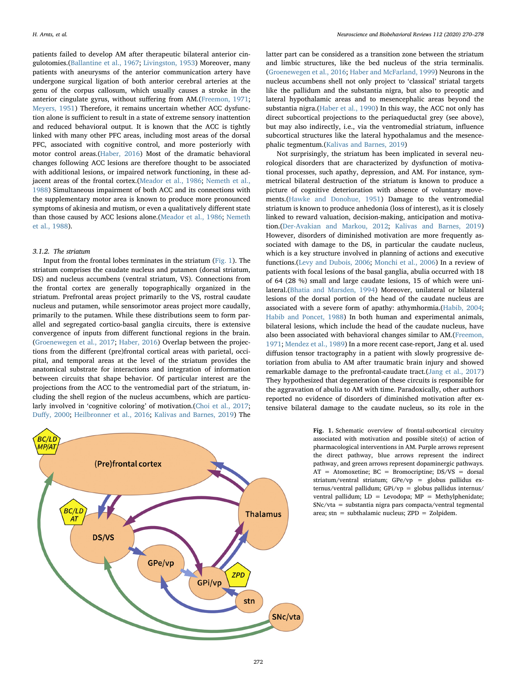patients failed to develop AM after therapeutic bilateral anterior cingulotomies.([Ballantine et al., 1967](#page-7-9); [Livingston, 1953\)](#page-8-15) Moreover, many patients with aneurysms of the anterior communication artery have undergone surgical ligation of both anterior cerebral arteries at the genu of the corpus callosum, which usually causes a stroke in the anterior cingulate gyrus, without suffering from AM.[\(Freemon, 1971](#page-8-14); [Meyers, 1951](#page-8-16)) Therefore, it remains uncertain whether ACC dysfunction alone is sufficient to result in a state of extreme sensory inattention and reduced behavioral output. It is known that the ACC is tightly linked with many other PFC areas, including most areas of the dorsal PFC, associated with cognitive control, and more posteriorly with motor control areas.([Haber, 2016](#page-8-9)) Most of the dramatic behavioral changes following ACC lesions are therefore thought to be associated with additional lesions, or impaired network functioning, in these adjacent areas of the frontal cortex.([Meador et al., 1986](#page-8-17); [Nemeth et al.,](#page-8-7) [1988\)](#page-8-7) Simultaneous impairment of both ACC and its connections with the supplementary motor area is known to produce more pronounced symptoms of akinesia and mutism, or even a qualitatively different state than those caused by ACC lesions alone.[\(Meador et al., 1986](#page-8-17); [Nemeth](#page-8-7) [et al., 1988](#page-8-7)).

#### 3.1.2. The striatum

Input from the frontal lobes terminates in the striatum ([Fig. 1\)](#page-3-0). The striatum comprises the caudate nucleus and putamen (dorsal striatum, DS) and nucleus accumbens (ventral striatum, VS). Connections from the frontal cortex are generally topographically organized in the striatum. Prefrontal areas project primarily to the VS, rostral caudate nucleus and putamen, while sensorimotor areas project more caudally, primarily to the putamen. While these distributions seem to form parallel and segregated cortico-basal ganglia circuits, there is extensive convergence of inputs from different functional regions in the brain. ([Groenewegen et al., 2017](#page-8-18); [Haber, 2016\)](#page-8-9) Overlap between the projections from the different (pre)frontal cortical areas with parietal, occipital, and temporal areas at the level of the striatum provides the anatomical substrate for interactions and integration of information between circuits that shape behavior. Of particular interest are the projections from the ACC to the ventromedial part of the striatum, including the shell region of the nucleus accumbens, which are particularly involved in 'cognitive coloring' of motivation.[\(Choi et al., 2017](#page-7-10); Duff[y, 2000](#page-7-11); [Heilbronner et al., 2016;](#page-8-19) [Kalivas and Barnes, 2019](#page-8-8)) The

<span id="page-3-0"></span>

latter part can be considered as a transition zone between the striatum and limbic structures, like the bed nucleus of the stria terminalis. ([Groenewegen et al., 2016](#page-8-20); [Haber and McFarland, 1999](#page-8-21)) Neurons in the nucleus accumbens shell not only project to 'classical' striatal targets like the pallidum and the substantia nigra, but also to preoptic and lateral hypothalamic areas and to mesencephalic areas beyond the substantia nigra.[\(Haber et al., 1990\)](#page-8-22) In this way, the ACC not only has direct subcortical projections to the periaqueductal grey (see above), but may also indirectly, i.e., via the ventromedial striatum, influence subcortical structures like the lateral hypothalamus and the mesencephalic tegmentum.[\(Kalivas and Barnes, 2019](#page-8-8))

Not surprisingly, the striatum has been implicated in several neurological disorders that are characterized by dysfunction of motivational processes, such apathy, depression, and AM. For instance, symmetrical bilateral destruction of the striatum is known to produce a picture of cognitive deterioration with absence of voluntary movements.([Hawke and Donohue, 1951\)](#page-8-23) Damage to the ventromedial striatum is known to produce anhedonia (loss of interest), as it is closely linked to reward valuation, decision-making, anticipation and motivation.([Der-Avakian and Markou, 2012](#page-7-12); [Kalivas and Barnes, 2019\)](#page-8-8) However, disorders of diminished motivation are more frequently associated with damage to the DS, in particular the caudate nucleus, which is a key structure involved in planning of actions and executive functions.[\(Levy and Dubois, 2006;](#page-8-24) [Monchi et al., 2006\)](#page-8-25) In a review of patients with focal lesions of the basal ganglia, abulia occurred with 18 of 64 (28 %) small and large caudate lesions, 15 of which were unilateral.[\(Bhatia and Marsden, 1994](#page-7-13)) Moreover, unilateral or bilateral lesions of the dorsal portion of the head of the caudate nucleus are associated with a severe form of apathy: athymhormia.([Habib, 2004](#page-8-26); [Habib and Poncet, 1988\)](#page-8-27) In both human and experimental animals, bilateral lesions, which include the head of the caudate nucleus, have also been associated with behavioral changes similar to AM.([Freemon,](#page-8-14) [1971;](#page-8-14) [Mendez et al., 1989](#page-8-28)) In a more recent case-report, Jang et al. used diffusion tensor tractography in a patient with slowly progressive detoriation from abulia to AM after traumatic brain injury and showed remarkable damage to the prefrontal-caudate tract.([Jang et al., 2017\)](#page-8-29) They hypothesized that degeneration of these circuits is responsible for the aggravation of abulia to AM with time. Paradoxically, other authors reported no evidence of disorders of diminished motivation after extensive bilateral damage to the caudate nucleus, so its role in the

> Fig. 1. Schematic overview of frontal-subcortical circuitry associated with motivation and possible site(s) of action of pharmacological interventions in AM. Purple arrows represent the direct pathway, blue arrows represent the indirect pathway, and green arrows represent dopaminergic pathways.  $AT = Atomoxetime$ ;  $BC = Bromocriptine$ ;  $DS/VS = dorsal$ striatum/ventral striatum; GPe/vp = globus pallidus externus/ventral pallidum; GPi/vp = globus pallidus internus/ ventral pallidum; LD = Levodopa; MP = Methylphenidate; SNc/vta = substantia nigra pars compacta/ventral tegmental area; stn = subthalamic nucleus; ZPD = Zolpidem.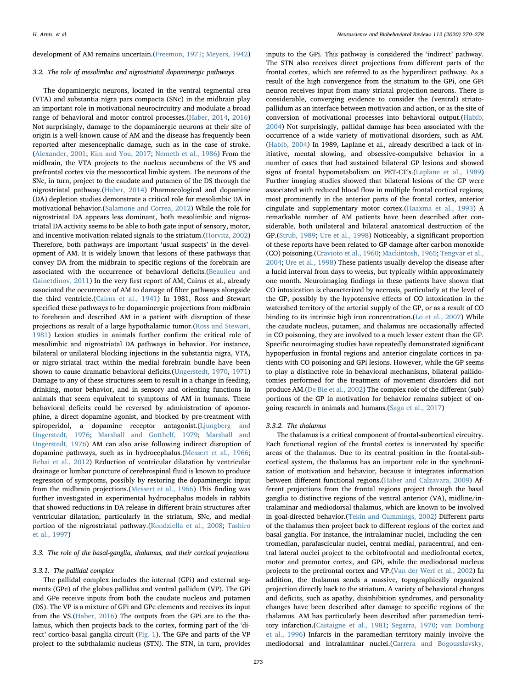development of AM remains uncertain.[\(Freemon, 1971;](#page-8-14) [Meyers, 1942\)](#page-8-30)

### 3.2. The role of mesolimbic and nigrostriatal dopaminergic pathways

The dopaminergic neurons, located in the ventral tegmental area (VTA) and substantia nigra pars compacta (SNc) in the midbrain play an important role in motivational neurocircuitry and modulate a broad range of behavioral and motor control processes.([Haber, 2014](#page-8-31), [2016\)](#page-8-9) Not surprisingly, damage to the dopaminergic neurons at their site of origin is a well-known cause of AM and the disease has frequently been reported after mesencephalic damage, such as in the case of stroke. ([Alexander, 2001](#page-7-14); [Kim and You, 2017](#page-8-32); [Nemeth et al., 1986](#page-8-33)) From the midbrain, the VTA projects to the nucleus accumbens of the VS and prefrontal cortex via the mesocortical limbic system. The neurons of the SNc, in turn, project to the caudate and putamen of the DS through the nigrostriatal pathway.([Haber, 2014](#page-8-31)) Pharmacological and dopamine (DA) depletion studies demonstrate a critical role for mesolimbic DA in motivational behavior.[\(Salamone and Correa, 2012\)](#page-8-34) While the role for nigrostriatal DA appears less dominant, both mesolimbic and nigrostriatal DA activity seems to be able to both gate input of sensory, motor, and incentive motivation-related signals to the striatum.[\(Horvitz, 2002\)](#page-8-35) Therefore, both pathways are important 'usual suspects' in the development of AM. It is widely known that lesions of these pathways that convey DA from the midbrain to specific regions of the forebrain are associated with the occurrence of behavioral deficits.([Beaulieu and](#page-7-15) [Gainetdinov, 2011](#page-7-15)) In the very first report of AM, Cairns et al., already associated the occurrence of AM to damage of fiber pathways alongside the third ventricle.([Cairns et al., 1941](#page-7-1)) In 1981, Ross and Stewart specified these pathways to be dopaminergic projections from midbrain to forebrain and described AM in a patient with disruption of these projections as result of a large hypothalamic tumor.[\(Ross and Stewart,](#page-8-36) [1981\)](#page-8-36) Lesion studies in animals further confirm the critical role of mesolimbic and nigrostriatal DA pathways in behavior. For instance, bilateral or unilateral blocking injections in the substantia nigra, VTA, or nigro-striatal tract within the medial forebrain bundle have been shown to cause dramatic behavioral deficits.([Ungerstedt, 1970,](#page-9-2) [1971\)](#page-9-3) Damage to any of these structures seem to result in a change in feeding, drinking, motor behavior, and in sensory and orienting functions in animals that seem equivalent to symptoms of AM in humans. These behavioral deficits could be reversed by administration of apomorphine, a direct dopamine agonist, and blocked by pre-treatment with spiroperidol, a dopamine receptor antagonist.([Ljungberg and](#page-8-37) [Ungerstedt, 1976;](#page-8-37) [Marshall and Gotthelf, 1979;](#page-8-38) [Marshall and](#page-8-39) [Ungerstedt, 1976\)](#page-8-39) AM can also arise following indirect disruption of dopamine pathways, such as in hydrocephalus.[\(Messert et al., 1966](#page-8-40); [Rebai et al., 2012\)](#page-8-41) Reduction of ventricular dilatation by ventricular drainage or lumbar puncture of cerebrospinal fluid is known to produce regression of symptoms, possibly by restoring the dopaminergic input from the midbrain projections.[\(Messert et al., 1966\)](#page-8-40) This finding was further investigated in experimental hydrocephalus models in rabbits that showed reductions in DA release in different brain structures after ventricular dilatation, particularly in the striatum, SNc, and medial portion of the nigrostriatal pathway.([Kondziella et al., 2008;](#page-8-42) [Tashiro](#page-9-4) [et al., 1997](#page-9-4))

## 3.3. The role of the basal-ganglia, thalamus, and their cortical projections

### 3.3.1. The pallidal complex

The pallidal complex includes the internal (GPi) and external segments (GPe) of the globus pallidus and ventral pallidum (VP). The GPi and GPe receive inputs from both the caudate nucleus and putamen (DS). The VP is a mixture of GPi and GPe elements and receives its input from the VS.[\(Haber, 2016\)](#page-8-9) The outputs from the GPi are to the thalamus, which then projects back to the cortex, forming part of the 'direct' cortico-basal ganglia circuit ([Fig. 1\)](#page-3-0). The GPe and parts of the VP project to the subthalamic nucleus (STN). The STN, in turn, provides inputs to the GPi. This pathway is considered the 'indirect' pathway. The STN also receives direct projections from different parts of the frontal cortex, which are referred to as the hyperdirect pathway. As a result of the high convergence from the striatum to the GPi, one GPi neuron receives input from many striatal projection neurons. There is considerable, converging evidence to consider the (ventral) striatopallidum as an interface between motivation and action, or as the site of conversion of motivational processes into behavioral output.[\(Habib,](#page-8-26) [2004\)](#page-8-26) Not surprisingly, pallidal damage has been associated with the occurrence of a wide variety of motivational disorders, such as AM. ([Habib, 2004](#page-8-26)) In 1989, Laplane et al., already described a lack of initiative, mental slowing, and obsessive-compulsive behavior in a number of cases that had sustained bilateral GP lesions and showed signs of frontal hypometabolism on PET-CT's.[\(Laplane et al., 1989\)](#page-8-43) Further imaging studies showed that bilateral lesions of the GP were associated with reduced blood flow in multiple frontal cortical regions, most prominently in the anterior parts of the frontal cortex, anterior cingulate and supplementary motor cortex.([Haaxma et al., 1993](#page-8-44)) A remarkable number of AM patients have been described after considerable, both unilateral and bilateral anatomical destruction of the GP.([Strub, 1989;](#page-8-45) [Ure et al., 1998](#page-9-5)) Noticeably, a significant proportion of these reports have been related to GP damage after carbon monoxide (CO) poisoning.([Cravioto et al., 1960](#page-7-16); [Mackintosh, 1965](#page-8-46); [Tengvar et al.,](#page-9-6) [2004;](#page-9-6) [Ure et al., 1998](#page-9-5)) These patients usually develop the disease after a lucid interval from days to weeks, but typically within approximately one month. Neuroimaging findings in these patients have shown that CO intoxication is characterized by necrosis, particularly at the level of the GP, possibly by the hypotensive effects of CO intoxication in the watershed territory of the arterial supply of the GP, or as a result of CO binding to its intrinsic high iron concentration.([Lo et al., 2007](#page-8-47)) While the caudate nucleus, putamen, and thalamus are occasionally affected in CO poisoning, they are involved to a much lesser extent than the GP. Specific neuroimaging studies have repeatedly demonstrated significant hypoperfusion in frontal regions and anterior cingulate cortices in patients with CO poisoning and GPi lesions. However, while the GP seems to play a distinctive role in behavioral mechanisms, bilateral pallidotomies performed for the treatment of movement disorders did not produce AM.([De Bie et al., 2002](#page-7-17)) The complex role of the different (sub) portions of the GP in motivation for behavior remains subject of ongoing research in animals and humans.[\(Saga et al., 2017](#page-8-48))

#### 3.3.2. The thalamus

The thalamus is a critical component of frontal-subcortical circuitry. Each functional region of the frontal cortex is innervated by specific areas of the thalamus. Due to its central position in the frontal-subcortical system, the thalamus has an important role in the synchronization of motivation and behavior, because it integrates information between different functional regions.[\(Haber and Calzavara, 2009](#page-8-49)) Afferent projections from the frontal regions project through the basal ganglia to distinctive regions of the ventral anterior (VA), midline/intralaminar and mediodorsal thalamus, which are known to be involved in goal-directed behavior.([Tekin and Cummings, 2002](#page-9-7)) Different parts of the thalamus then project back to different regions of the cortex and basal ganglia. For instance, the intralaminar nuclei, including the centromedian, parafascicular nuclei, central medial, paracentral, and central lateral nuclei project to the orbitofrontal and mediofrontal cortex, motor and premotor cortex, and GPi, while the mediodorsal nucleus projects to the prefrontal cortex and VP.([Van der Werf et al., 2002\)](#page-9-8) In addition, the thalamus sends a massive, topographically organized projection directly back to the striatum. A variety of behavioral changes and deficits, such as apathy, disinhibition syndromes, and personality changes have been described after damage to specific regions of the thalamus. AM has particularly been described after paramedian territory infarction.[\(Castaigne et al., 1981](#page-7-18); [Segarra, 1970](#page-8-50); [van Domburg](#page-9-9) [et al., 1996](#page-9-9)) Infarcts in the paramedian territory mainly involve the mediodorsal and intralaminar nuclei.([Carrera and Bogousslavsky,](#page-7-19)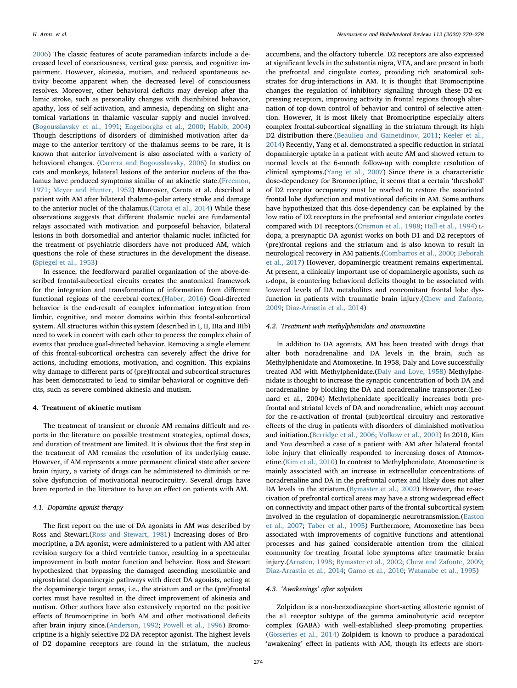[2006\)](#page-7-19) The classic features of acute paramedian infarcts include a decreased level of consciousness, vertical gaze paresis, and cognitive impairment. However, akinesia, mutism, and reduced spontaneous activity become apparent when the decreased level of consciousness resolves. Moreover, other behavioral deficits may develop after thalamic stroke, such as personality changes with disinhibited behavior, apathy, loss of self-activation, and amnesia, depending on slight anatomical variations in thalamic vascular supply and nuclei involved. ([Bogousslavsky et al., 1991](#page-7-20); [Engelborghs et al., 2000](#page-7-21); [Habib, 2004\)](#page-8-26) Though descriptions of disorders of diminished motivation after damage to the anterior territory of the thalamus seems to be rare, it is known that anterior involvement is also associated with a variety of behavioral changes. [\(Carrera and Bogousslavsky, 2006](#page-7-19)) In studies on cats and monkeys, bilateral lesions of the anterior nucleus of the thalamus have produced symptoms similar of an akinetic state.([Freemon,](#page-8-14) [1971;](#page-8-14) [Meyer and Hunter, 1952](#page-8-51)) Moreover, Carota et al. described a patient with AM after bilateral thalamo-polar artery stroke and damage to the anterior nuclei of the thalamus.([Carota et al., 2014\)](#page-7-22) While these observations suggests that different thalamic nuclei are fundamental relays associated with motivation and purposeful behavior, bilateral lesions in both dorsomedial and anterior thalamic nuclei inflicted for the treatment of psychiatric disorders have not produced AM, which questions the role of these structures in the development the disease. ([Spiegel et al., 1953](#page-8-52))

In essence, the feedforward parallel organization of the above-described frontal-subcortical circuits creates the anatomical framework for the integration and transformation of information from different functional regions of the cerebral cortex.([Haber, 2016\)](#page-8-9) Goal-directed behavior is the end-result of complex information integration from limbic, cognitive, and motor domains within this frontal-subcortical system. All structures within this system (described in I, II, IIIa and IIIb) need to work in concert with each other to process the complex chain of events that produce goal-directed behavior. Removing a single element of this frontal-subcortical orchestra can severely affect the drive for actions, including emotions, motivation, and cognition. This explains why damage to different parts of (pre)frontal and subcortical structures has been demonstrated to lead to similar behavioral or cognitive deficits, such as severe combined akinesia and mutism.

#### 4. Treatment of akinetic mutism

The treatment of transient or chronic AM remains difficult and reports in the literature on possible treatment strategies, optimal doses, and duration of treatment are limited. It is obvious that the first step in the treatment of AM remains the resolution of its underlying cause. However, if AM represents a more permanent clinical state after severe brain injury, a variety of drugs can be administered to diminish or resolve dysfunction of motivational neurocircuitry. Several drugs have been reported in the literature to have an effect on patients with AM.

# 4.1. Dopamine agonist therapy

The first report on the use of DA agonists in AM was described by Ross and Stewart.[\(Ross and Stewart, 1981](#page-8-36)) Increasing doses of Bromocriptine, a DA agonist, were administered to a patient with AM after revision surgery for a third ventricle tumor, resulting in a spectacular improvement in both motor function and behavior. Ross and Stewart hypothesized that bypassing the damaged ascending mesolimbic and nigrostriatal dopaminergic pathways with direct DA agonists, acting at the dopaminergic target areas, i.e., the striatum and or the (pre)frontal cortex must have resulted in the direct improvement of akinesia and mutism. Other authors have also extensively reported on the positive effects of Bromocriptine in both AM and other motivational deficits after brain injury since.([Anderson, 1992;](#page-7-23) [Powell et al., 1996\)](#page-8-53) Bromocriptine is a highly selective D2 DA receptor agonist. The highest levels of D2 dopamine receptors are found in the striatum, the nucleus

accumbens, and the olfactory tubercle. D2 receptors are also expressed at significant levels in the substantia nigra, VTA, and are present in both the prefrontal and cingulate cortex, providing rich anatomical substrates for drug-interactions in AM. It is thought that Bromocriptine changes the regulation of inhibitory signalling through these D2-expressing receptors, improving activity in frontal regions through alternation of top-down control of behavior and control of selective attention. However, it is most likely that Bromocriptine especially alters complex frontal-subcortical signalling in the striatum through its high D2 distribution there.[\(Beaulieu and Gainetdinov, 2011](#page-7-15); [Keeler et al.,](#page-8-54) [2014\)](#page-8-54) Recently, Yang et al. demonstrated a specific reduction in striatal dopaminergic uptake in a patient with acute AM and showed return to normal levels at the 6-month follow-up with complete resolution of clinical symptoms.([Yang et al., 2007\)](#page-9-10) Since there is a characteristic dose-dependency for Bromocriptine, it seems that a certain 'threshold' of D2 receptor occupancy must be reached to restore the associated frontal lobe dysfunction and motivational deficits in AM. Some authors have hypothesized that this dose-dependency can be explained by the low ratio of D2 receptors in the prefrontal and anterior cingulate cortex compared with D1 receptors.[\(Crismon et al., 1988;](#page-7-24) [Hall et al., 1994\)](#page-8-55) Ldopa, a presynaptic DA agonist works on both D1 and D2 receptors of (pre)frontal regions and the striatum and is also known to result in neurological recovery in AM patients.([Combarros et al., 2000](#page-7-25); [Deborah](#page-7-26) [et al., 2017\)](#page-7-26) However, dopaminergic treatment remains experimental. At present, a clinically important use of dopaminergic agonists, such as L-dopa, is countering behavioral deficits thought to be associated with lowered levels of DA metabolites and concomitant frontal lobe dysfunction in patients with traumatic brain injury.[\(Chew and Zafonte,](#page-7-27) [2009;](#page-7-27) [Diaz-Arrastia et al., 2014](#page-7-28))

# 4.2. Treatment with methylphenidate and atomoxetine

In addition to DA agonists, AM has been treated with drugs that alter both noradrenaline and DA levels in the brain, such as Methylphenidate and Atomoxetine. In 1958, Daly and Love successfully treated AM with Methylphenidate.([Daly and Love, 1958](#page-7-29)) Methylphenidate is thought to increase the synaptic concentration of both DA and noradrenaline by blocking the DA and noradrenaline transporter.(Leonard et al., 2004) Methylphenidate specifically increases both prefrontal and striatal levels of DA and noradrenaline, which may account for the re-activation of frontal (sub)cortical circuitry and restorative effects of the drug in patients with disorders of diminished motivation and initiation.([Berridge et al., 2006](#page-7-30); [Volkow et al., 2001](#page-9-11)) In 2010, Kim and You described a case of a patient with AM after bilateral frontal lobe injury that clinically responded to increasing doses of Atomoxetine.[\(Kim et al., 2010\)](#page-8-56) In contrast to Methylphenidate, Atomoxetine is mainly associated with an increase in extracellular concentrations of noradrenaline and DA in the prefrontal cortex and likely does not alter DA levels in the striatum.([Bymaster et al., 2002](#page-7-31)) However, the re-activation of prefrontal cortical areas may have a strong widespread effect on connectivity and impact other parts of the frontal-subcortical system involved in the regulation of dopaminergic neurotransmission.[\(Easton](#page-7-32) [et al., 2007;](#page-7-32) [Taber et al., 1995\)](#page-8-57) Furthermore, Atomoxetine has been associated with improvements of cognitive functions and attentional processes and has gained considerable attention from the clinical community for treating frontal lobe symptoms after traumatic brain injury.([Arnsten, 1998;](#page-7-33) [Bymaster et al., 2002](#page-7-31); [Chew and Zafonte, 2009](#page-7-27); [Diaz-Arrastia et al., 2014](#page-7-28); [Gamo et al., 2010](#page-8-58); [Watanabe et al., 1995\)](#page-9-12)

# 4.3. 'Awakenings' after zolpidem

Zolpidem is a non-benzodiazepine short-acting allosteric agonist of the a1 receptor subtype of the gamma aminobutyric acid receptor complex (GABA) with well-established sleep-promoting properties. ([Gosseries et al., 2014\)](#page-8-59) Zolpidem is known to produce a paradoxical 'awakening' effect in patients with AM, though its effects are short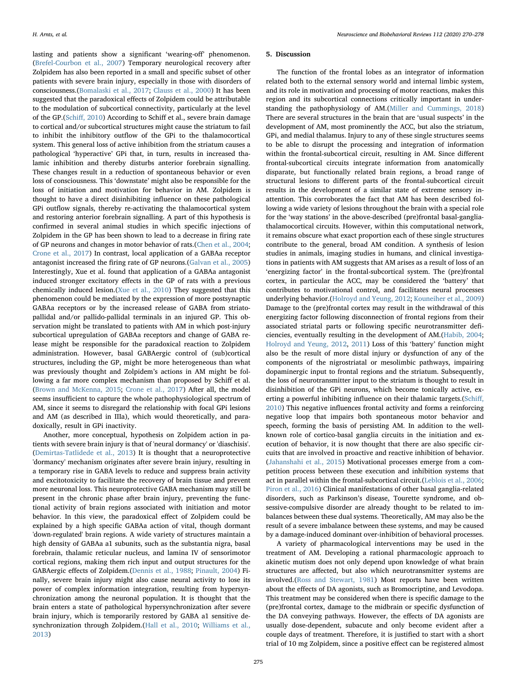lasting and patients show a significant 'wearing-off' phenomenon. ([Brefel-Courbon et al., 2007\)](#page-7-34) Temporary neurological recovery after Zolpidem has also been reported in a small and specific subset of other patients with severe brain injury, especially in those with disorders of consciousness.([Bomalaski et al., 2017;](#page-7-35) [Clauss et al., 2000](#page-7-36)) It has been suggested that the paradoxical effects of Zolpidem could be attributable to the modulation of subcortical connectivity, particularly at the level of the GP.(Schiff[, 2010](#page-8-60)) According to Schiff et al., severe brain damage to cortical and/or subcortical structures might cause the striatum to fail to inhibit the inhibitory outflow of the GPi to the thalamocortical system. This general loss of active inhibition from the striatum causes a pathological 'hyperactive' GPi that, in turn, results in increased thalamic inhibition and thereby disturbs anterior forebrain signalling. These changes result in a reduction of spontaneous behavior or even loss of consciousness. This 'downstate' might also be responsible for the loss of initiation and motivation for behavior in AM. Zolpidem is thought to have a direct disinhibiting influence on these pathological GPi outflow signals, thereby re-activating the thalamocortical system and restoring anterior forebrain signalling. A part of this hypothesis is confirmed in several animal studies in which specific injections of Zolpidem in the GP has been shown to lead to a decrease in firing rate of GP neurons and changes in motor behavior of rats.([Chen et al., 2004](#page-7-37); [Crone et al., 2017\)](#page-7-38) In contrast, local application of a GABAa receptor antagonist increased the firing rate of GP neurons.[\(Galvan et al., 2005\)](#page-8-61) Interestingly, Xue et al. found that application of a GABAa antagonist induced stronger excitatory effects in the GP of rats with a previous chemically induced lesion.([Xue et al., 2010](#page-9-13)) They suggested that this phenomenon could be mediated by the expression of more postsynaptic GABAa receptors or by the increased release of GABA from striatopallidal and/or pallido-pallidal terminals in an injured GP. This observation might be translated to patients with AM in which post-injury subcortical upregulation of GABAa receptors and change of GABA release might be responsible for the paradoxical reaction to Zolpidem administration. However, basal GABAergic control of (sub)cortical structures, including the GP, might be more heterogeneous than what was previously thought and Zolpidem's actions in AM might be following a far more complex mechanism than proposed by Schiff et al. ([Brown and McKenna, 2015](#page-7-39); [Crone et al., 2017\)](#page-7-38) After all, the model seems insufficient to capture the whole pathophysiological spectrum of AM, since it seems to disregard the relationship with focal GPi lesions and AM (as described in IIIa), which would theoretically, and paradoxically, result in GPi inactivity.

Another, more conceptual, hypothesis on Zolpidem action in patients with severe brain injury is that of 'neural dormancy' or 'diaschisis'. ([Demirtas-Tatlidede et al., 2013](#page-7-40)) It is thought that a neuroprotective 'dormancy' mechanism originates after severe brain injury, resulting in a temporary rise in GABA levels to reduce and suppress brain activity and excitotoxicity to facilitate the recovery of brain tissue and prevent more neuronal loss. This neuroprotective GABA mechanism may still be present in the chronic phase after brain injury, preventing the functional activity of brain regions associated with initiation and motor behavior. In this view, the paradoxical effect of Zolpidem could be explained by a high specific GABAa action of vital, though dormant 'down-regulated' brain regions. A wide variety of structures maintain a high density of GABAa a1 subunits, such as the substantia nigra, basal forebrain, thalamic reticular nucleus, and lamina IV of sensorimotor cortical regions, making them rich input and output structures for the GABAergic effects of Zolpidem.([Dennis et al., 1988](#page-7-41); [Pinault, 2004\)](#page-8-62) Finally, severe brain injury might also cause neural activity to lose its power of complex information integration, resulting from hypersynchronization among the neuronal population. It is thought that the brain enters a state of pathological hypersynchronization after severe brain injury, which is temporarily restored by GABA a1 sensitive desynchronization through Zolpidem.[\(Hall et al., 2010;](#page-8-63) [Williams et al.,](#page-9-14) [2013\)](#page-9-14)

#### 5. Discussion

The function of the frontal lobes as an integrator of information related both to the external sensory world and internal limbic system, and its role in motivation and processing of motor reactions, makes this region and its subcortical connections critically important in understanding the pathophysiology of AM.[\(Miller and Cummings, 2018\)](#page-8-0) There are several structures in the brain that are 'usual suspects' in the development of AM, most prominently the ACC, but also the striatum, GPi, and medial thalamus. Injury to any of these single structures seems to be able to disrupt the processing and integration of information within the frontal-subcortical circuit, resulting in AM. Since different frontal-subcortical circuits integrate information from anatomically disparate, but functionally related brain regions, a broad range of structural lesions to different parts of the frontal-subcortical circuit results in the development of a similar state of extreme sensory inattention. This corroborates the fact that AM has been described following a wide variety of lesions throughout the brain with a special role for the 'way stations' in the above-described (pre)frontal basal-gangliathalamocortical circuits. However, within this computational network, it remains obscure what exact proportion each of these single structures contribute to the general, broad AM condition. A synthesis of lesion studies in animals, imaging studies in humans, and clinical investigations in patients with AM suggests that AM arises as a result of loss of an 'energizing factor' in the frontal-subcortical system. The (pre)frontal cortex, in particular the ACC, may be considered the 'battery' that contributes to motivational control, and facilitates neural processes underlying behavior.[\(Holroyd and Yeung, 2012;](#page-8-10) [Kouneiher et al., 2009\)](#page-8-64) Damage to the (pre)frontal cortex may result in the withdrawal of this energizing factor following disconnection of frontal regions from their associated striatal parts or following specific neurotransmitter deficiencies, eventually resulting in the development of AM.[\(Habib, 2004](#page-8-26); [Holroyd and Yeung, 2012,](#page-8-10) [2011\)](#page-8-65) Loss of this 'battery' function might also be the result of more distal injury or dysfunction of any of the components of the nigrostriatal or mesolimbic pathways, impairing dopaminergic input to frontal regions and the striatum. Subsequently, the loss of neurotransmitter input to the striatum is thought to result in disinhibition of the GPi neurons, which become tonically active, exerting a powerful inhibiting influence on their thalamic targets.[\(Schi](#page-8-60)ff, [2010\)](#page-8-60) This negative influences frontal activity and forms a reinforcing negative loop that impairs both spontaneous motor behavior and speech, forming the basis of persisting AM. In addition to the wellknown role of cortico-basal ganglia circuits in the initiation and execution of behavior, it is now thought that there are also specific circuits that are involved in proactive and reactive inhibition of behavior. ([Jahanshahi et al., 2015](#page-8-66)) Motivational processes emerge from a competition process between these execution and inhibition systems that act in parallel within the frontal-subcortical circuit.[\(Leblois et al., 2006](#page-8-67); [Piron et al., 2016](#page-8-68)) Clinical manifestations of other basal ganglia-related disorders, such as Parkinson's disease, Tourette syndrome, and obsessive-compulsive disorder are already thought to be related to imbalances between these dual systems. Theoretically, AM may also be the result of a severe imbalance between these systems, and may be caused by a damage-induced dominant over-inhibition of behavioral processes.

A variety of pharmacological interventions may be used in the treatment of AM. Developing a rational pharmacologic approach to akinetic mutism does not only depend upon knowledge of what brain structures are affected, but also which neurotransmitter systems are involved.[\(Ross and Stewart, 1981](#page-8-36)) Most reports have been written about the effects of DA agonists, such as Bromocriptine, and Levodopa. This treatment may be considered when there is specific damage to the (pre)frontal cortex, damage to the midbrain or specific dysfunction of the DA conveying pathways. However, the effects of DA agonists are usually dose-dependent, subacute and only become evident after a couple days of treatment. Therefore, it is justified to start with a short trial of 10 mg Zolpidem, since a positive effect can be registered almost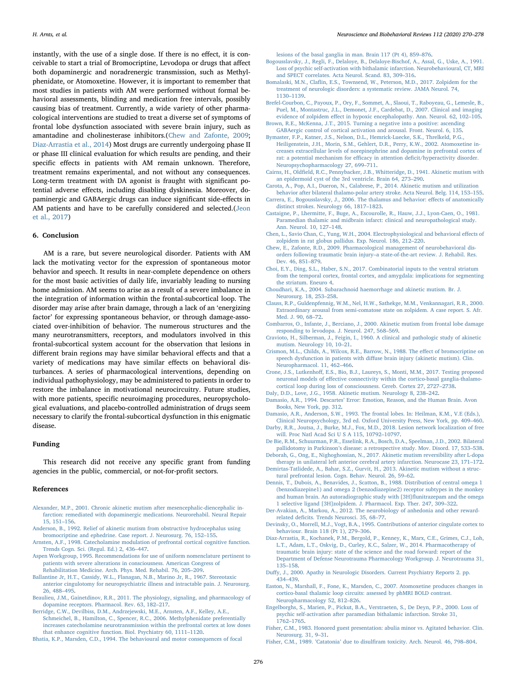instantly, with the use of a single dose. If there is no effect, it is conceivable to start a trial of Bromocriptine, Levodopa or drugs that affect both dopaminergic and noradrenergic transmission, such as Methylphenidate, or Atomoxetine. However, it is important to remember that most studies in patients with AM were performed without formal behavioral assessments, blinding and medication free intervals, possibly causing bias of treatment. Currently, a wide variety of other pharmacological interventions are studied to treat a diverse set of symptoms of frontal lobe dysfunction associated with severe brain injury, such as amantadine and cholinesterase inhibitors.([Chew and Zafonte, 2009](#page-7-27); [Diaz-Arrastia et al., 2014\)](#page-7-28) Most drugs are currently undergoing phase II or phase III clinical evaluation for which results are pending, and their specific effects in patients with AM remain unknown. Therefore, treatment remains experimental, and not without any consequences. Long-term treatment with DA agonist is fraught with significant potential adverse effects, including disabling dyskinesia. Moreover, dopaminergic and GABAergic drugs can induce significant side-effects in AM patients and have to be carefully considered and selected.([Jeon](#page-8-69) [et al., 2017](#page-8-69))

#### 6. Conclusion

AM is a rare, but severe neurological disorder. Patients with AM lack the motivating vector for the expression of spontaneous motor behavior and speech. It results in near-complete dependence on others for the most basic activities of daily life, invariably leading to nursing home admission. AM seems to arise as a result of a severe imbalance in the integration of information within the frontal-subcortical loop. The disorder may arise after brain damage, through a lack of an 'energizing factor' for expressing spontaneous behavior, or through damage-associated over-inhibition of behavior. The numerous structures and the many neurotransmitters, receptors, and modulators involved in this frontal-subcortical system account for the observation that lesions in different brain regions may have similar behavioral effects and that a variety of medications may have similar effects on behavioral disturbances. A series of pharmacological interventions, depending on individual pathophysiology, may be administered to patients in order to restore the imbalance in motivational neurocircuitry. Future studies, with more patients, specific neuroimaging procedures, neuropsychological evaluations, and placebo-controlled administration of drugs seem necessary to clarify the frontal-subcortical dysfunction in this enigmatic disease.

## Funding

This research did not receive any specific grant from funding agencies in the public, commercial, or not-for-profit sectors.

#### References

- <span id="page-7-14"></span>[Alexander, M.P., 2001. Chronic akinetic mutism after mesencephalic-diencephalic in](http://refhub.elsevier.com/S0149-7634(19)30144-7/sbref0005)[farction: remediated with dopaminergic medications. Neurorehabil. Neural Repair](http://refhub.elsevier.com/S0149-7634(19)30144-7/sbref0005) [15, 151](http://refhub.elsevier.com/S0149-7634(19)30144-7/sbref0005)–156.
- <span id="page-7-23"></span>[Anderson, B., 1992. Relief of akinetic mutism from obstructive hydrocephalus using](http://refhub.elsevier.com/S0149-7634(19)30144-7/sbref0010) [bromocriptine and ephedrine. Case report. J. Neurosurg. 76, 152](http://refhub.elsevier.com/S0149-7634(19)30144-7/sbref0010)–155.
- <span id="page-7-33"></span>[Arnsten, A.F., 1998. Catecholamine modulation of prefrontal cortical cognitive function.](http://refhub.elsevier.com/S0149-7634(19)30144-7/sbref0015) [Trends Cogn. Sci. \(Regul. Ed.\) 2, 436](http://refhub.elsevier.com/S0149-7634(19)30144-7/sbref0015)–447.
- <span id="page-7-0"></span>[Aspen Workgroup, 1995. Recommendations for use of uniform nomenclature pertinent to](http://refhub.elsevier.com/S0149-7634(19)30144-7/sbref0020) [patients with severe alterations in consciousness. American Congress of](http://refhub.elsevier.com/S0149-7634(19)30144-7/sbref0020) [Rehabilitation Medicine. Arch. Phys. Med. Rehabil. 76, 205](http://refhub.elsevier.com/S0149-7634(19)30144-7/sbref0020)–209.
- <span id="page-7-9"></span>[Ballantine Jr, H.T., Cassidy, W.L., Flanagan, N.B., Marino Jr, R., 1967. Stereotaxic](http://refhub.elsevier.com/S0149-7634(19)30144-7/sbref0025) [anterior cingulotomy for neuropsychiatric illness and intractable pain. J. Neurosurg.](http://refhub.elsevier.com/S0149-7634(19)30144-7/sbref0025) [26, 488](http://refhub.elsevier.com/S0149-7634(19)30144-7/sbref0025)–495.
- <span id="page-7-15"></span>[Beaulieu, J.M., Gainetdinov, R.R., 2011. The physiology, signaling, and pharmacology of](http://refhub.elsevier.com/S0149-7634(19)30144-7/sbref0030) [dopamine receptors. Pharmacol. Rev. 63, 182](http://refhub.elsevier.com/S0149-7634(19)30144-7/sbref0030)–217.
- <span id="page-7-30"></span>[Berridge, C.W., Devilbiss, D.M., Andrzejewski, M.E., Arnsten, A.F., Kelley, A.E.,](http://refhub.elsevier.com/S0149-7634(19)30144-7/sbref0035) [Schmeichel, B., Hamilton, C., Spencer, R.C., 2006. Methylphenidate preferentially](http://refhub.elsevier.com/S0149-7634(19)30144-7/sbref0035) [increases catecholamine neurotransmission within the prefrontal cortex at low doses](http://refhub.elsevier.com/S0149-7634(19)30144-7/sbref0035) [that enhance cognitive function. Biol. Psychiatry 60, 1111](http://refhub.elsevier.com/S0149-7634(19)30144-7/sbref0035)–1120.
- <span id="page-7-13"></span>[Bhatia, K.P., Marsden, C.D., 1994. The behavioural and motor consequences of focal](http://refhub.elsevier.com/S0149-7634(19)30144-7/sbref0040)

[lesions of the basal ganglia in man. Brain 117 \(Pt 4\), 859](http://refhub.elsevier.com/S0149-7634(19)30144-7/sbref0040)–876.

- <span id="page-7-20"></span>[Bogousslavsky, J., Regli, F., Delaloye, B., Delaloye-Bischof, A., Assal, G., Uske, A., 1991.](http://refhub.elsevier.com/S0149-7634(19)30144-7/sbref0045) [Loss of psychic self-activation with bithalamic infarction. Neurobehavioural, CT, MRI](http://refhub.elsevier.com/S0149-7634(19)30144-7/sbref0045) [and SPECT correlates. Acta Neurol. Scand. 83, 309](http://refhub.elsevier.com/S0149-7634(19)30144-7/sbref0045)–316.
- <span id="page-7-35"></span>Bomalaski, M.N., Clafl[in, E.S., Townsend, W., Peterson, M.D., 2017. Zolpidem for the](http://refhub.elsevier.com/S0149-7634(19)30144-7/sbref0050) [treatment of neurologic disorders: a systematic review. JAMA Neurol. 74,](http://refhub.elsevier.com/S0149-7634(19)30144-7/sbref0050) 1130–[1139](http://refhub.elsevier.com/S0149-7634(19)30144-7/sbref0050).
- <span id="page-7-34"></span>[Brefel-Courbon, C., Payoux, P., Ory, F., Sommet, A., Slaoui, T., Raboyeau, G., Lemesle, B.,](http://refhub.elsevier.com/S0149-7634(19)30144-7/sbref0055) [Puel, M., Montastruc, J.L., Demonet, J.F., Cardebat, D., 2007. Clinical and imaging](http://refhub.elsevier.com/S0149-7634(19)30144-7/sbref0055) evidence of zolpidem eff[ect in hypoxic encephalopathy. Ann. Neurol. 62, 102](http://refhub.elsevier.com/S0149-7634(19)30144-7/sbref0055)–105.
- <span id="page-7-39"></span>[Brown, R.E., McKenna, J.T., 2015. Turning a negative into a positive: ascending](http://refhub.elsevier.com/S0149-7634(19)30144-7/sbref0060) [GABAergic control of cortical activation and arousal. Front. Neurol. 6, 135](http://refhub.elsevier.com/S0149-7634(19)30144-7/sbref0060).
- <span id="page-7-31"></span>[Bymaster, F.P., Katner, J.S., Nelson, D.L., Hemrick-Luecke, S.K., Threlkeld, P.G.,](http://refhub.elsevier.com/S0149-7634(19)30144-7/sbref0065) [Heiligenstein, J.H., Morin, S.M., Gehlert, D.R., Perry, K.W., 2002. Atomoxetine in](http://refhub.elsevier.com/S0149-7634(19)30144-7/sbref0065)[creases extracellular levels of norepinephrine and dopamine in prefrontal cortex of](http://refhub.elsevier.com/S0149-7634(19)30144-7/sbref0065) [rat: a potential mechanism for e](http://refhub.elsevier.com/S0149-7634(19)30144-7/sbref0065)fficacy in attention deficit/hyperactivity disorder. [Neuropsychopharmacology 27, 699](http://refhub.elsevier.com/S0149-7634(19)30144-7/sbref0065)–711.
- <span id="page-7-1"></span>Cairns, H., Oldfi[eld, R.C., Pennybacker, J.B., Whitteridge, D., 1941. Akinetic mutism with](http://refhub.elsevier.com/S0149-7634(19)30144-7/sbref0070) [an epidermoid cyst of the 3rd ventricle. Brain 64, 273](http://refhub.elsevier.com/S0149-7634(19)30144-7/sbref0070)–290.
- <span id="page-7-22"></span>[Carota, A., Pop, A.I., Dueron, N., Calabrese, P., 2014. Akinetic mutism and utilization](http://refhub.elsevier.com/S0149-7634(19)30144-7/sbref0075)
- <span id="page-7-19"></span>[behavior after bilateral thalamo-polar artery stroke. Acta Neurol. Belg. 114, 153](http://refhub.elsevier.com/S0149-7634(19)30144-7/sbref0075)–155. [Carrera, E., Bogousslavsky, J., 2006. The thalamus and behavior: e](http://refhub.elsevier.com/S0149-7634(19)30144-7/sbref0080)ffects of anatomically [distinct strokes. Neurology 66, 1817](http://refhub.elsevier.com/S0149-7634(19)30144-7/sbref0080)–1823.
- <span id="page-7-18"></span>[Castaigne, P., Lhermitte, F., Buge, A., Escourolle, R., Hauw, J.J., Lyon-Caen, O., 1981.](http://refhub.elsevier.com/S0149-7634(19)30144-7/sbref0085) [Paramedian thalamic and midbrain infarct: clinical and neuropathological study.](http://refhub.elsevier.com/S0149-7634(19)30144-7/sbref0085) Ann. [Neurol. 10, 127](http://refhub.elsevier.com/S0149-7634(19)30144-7/sbref0085)–148.
- <span id="page-7-37"></span>[Chen, L., Savio Chan, C., Yung, W.H., 2004. Electrophysiological and behavioral e](http://refhub.elsevier.com/S0149-7634(19)30144-7/sbref0090)ffects of [zolpidem in rat globus pallidus. Exp. Neurol. 186, 212](http://refhub.elsevier.com/S0149-7634(19)30144-7/sbref0090)–220.
- <span id="page-7-27"></span>[Chew, E., Zafonte, R.D., 2009. Pharmacological management of neurobehavioral dis](http://refhub.elsevier.com/S0149-7634(19)30144-7/sbref0095)orders following traumatic brain injury–[a state-of-the-art review. J. Rehabil. Res.](http://refhub.elsevier.com/S0149-7634(19)30144-7/sbref0095) [Dev. 46, 851](http://refhub.elsevier.com/S0149-7634(19)30144-7/sbref0095)–879.
- <span id="page-7-10"></span>[Choi, E.Y., Ding, S.L., Haber, S.N., 2017. Combinatorial inputs to the ventral striatum](http://refhub.elsevier.com/S0149-7634(19)30144-7/sbref0100) [from the temporal cortex, frontal cortex, and amygdala: implications for segmenting](http://refhub.elsevier.com/S0149-7634(19)30144-7/sbref0100) [the striatum. Eneuro 4.](http://refhub.elsevier.com/S0149-7634(19)30144-7/sbref0100)
- <span id="page-7-7"></span>[Choudhari, K.A., 2004. Subarachnoid haemorrhage and akinetic mutism. Br. J.](http://refhub.elsevier.com/S0149-7634(19)30144-7/sbref0105) [Neurosurg. 18, 253](http://refhub.elsevier.com/S0149-7634(19)30144-7/sbref0105)–258.
- <span id="page-7-36"></span>[Clauss, R.P., Guldenpfennig, W.M., Nel, H.W., Sathekge, M.M., Venkannagari, R.R., 2000.](http://refhub.elsevier.com/S0149-7634(19)30144-7/sbref0110) [Extraordinary arousal from semi-comatose state on zolpidem. A case report. S. Afr.](http://refhub.elsevier.com/S0149-7634(19)30144-7/sbref0110) [Med. J. 90, 68](http://refhub.elsevier.com/S0149-7634(19)30144-7/sbref0110)–72.
- <span id="page-7-25"></span>[Combarros, O., Infante, J., Berciano, J., 2000. Akinetic mutism from frontal lobe damage](http://refhub.elsevier.com/S0149-7634(19)30144-7/sbref0115) [responding to levodopa. J. Neurol. 247, 568](http://refhub.elsevier.com/S0149-7634(19)30144-7/sbref0115)–569.
- <span id="page-7-16"></span>[Cravioto, H., Silberman, J., Feigin, I., 1960. A clinical and pathologic study of akinetic](http://refhub.elsevier.com/S0149-7634(19)30144-7/sbref0120) [mutism. Neurology 10, 10](http://refhub.elsevier.com/S0149-7634(19)30144-7/sbref0120)–21.
- <span id="page-7-24"></span>[Crismon, M.L., Childs, A., Wilcox, R.E., Barrow, N., 1988. The e](http://refhub.elsevier.com/S0149-7634(19)30144-7/sbref0125)ffect of bromocriptine on speech dysfunction in patients with diff[use brain injury \(akinetic mutism\). Clin.](http://refhub.elsevier.com/S0149-7634(19)30144-7/sbref0125) [Neuropharmacol. 11, 462](http://refhub.elsevier.com/S0149-7634(19)30144-7/sbref0125)–466.
- <span id="page-7-38"></span>Crone, J.S., Lutkenhoff[, E.S., Bio, B.J., Laureys, S., Monti, M.M., 2017. Testing proposed](http://refhub.elsevier.com/S0149-7634(19)30144-7/sbref0130) neuronal models of eff[ective connectivity within the cortico-basal ganglia-thalamo](http://refhub.elsevier.com/S0149-7634(19)30144-7/sbref0130)[cortical loop during loss of consciousness. Cereb. Cortex 27, 2727](http://refhub.elsevier.com/S0149-7634(19)30144-7/sbref0130)–2738.
- <span id="page-7-29"></span>[Daly, D.D., Love, J.G., 1958. Akinetic mutism. Neurology 8, 238](http://refhub.elsevier.com/S0149-7634(19)30144-7/sbref0135)–242.
- <span id="page-7-4"></span>Damasio, A.R., 1994. Descartes' [Error: Emotion, Reason, and the Human Brain. Avon](http://refhub.elsevier.com/S0149-7634(19)30144-7/sbref0140) [Books, New York, pp. 312](http://refhub.elsevier.com/S0149-7634(19)30144-7/sbref0140).
- <span id="page-7-8"></span>[Damasio, A.R., Anderson, S.W., 1993. The frontal lobes. In: Heilman, K.M., V.E \(Eds.\),](http://refhub.elsevier.com/S0149-7634(19)30144-7/sbref0145) [Clinical Neuropsychology, 3rd ed. Oxford University Press, New York, pp. 409](http://refhub.elsevier.com/S0149-7634(19)30144-7/sbref0145)–460.
- <span id="page-7-5"></span>[Darby, R.R., Joutsa, J., Burke, M.J., Fox, M.D., 2018. Lesion network localization of free](http://refhub.elsevier.com/S0149-7634(19)30144-7/sbref0150) [will. Proc Natl Acad Sci U S A 115, 10792](http://refhub.elsevier.com/S0149-7634(19)30144-7/sbref0150)–10797.
- <span id="page-7-17"></span>[De Bie, R.M., Schuurman, P.R., Esselink, R.A., Bosch, D.A., Speelman, J.D., 2002. Bilateral](http://refhub.elsevier.com/S0149-7634(19)30144-7/sbref0155) pallidotomy in Parkinson'[s disease: a retrospective study. Mov. Disord. 17, 533](http://refhub.elsevier.com/S0149-7634(19)30144-7/sbref0155)–538.
- <span id="page-7-26"></span>[Deborah, G., Ong, E., Nighoghossian, N., 2017. Akinetic mutism reversibility after L-dopa](http://refhub.elsevier.com/S0149-7634(19)30144-7/sbref0160) [therapy in unilateral left anterior cerebral artery infarction. Neurocase 23, 171](http://refhub.elsevier.com/S0149-7634(19)30144-7/sbref0160)–172. [Demirtas-Tatlidede, A., Bahar, S.Z., Gurvit, H., 2013. Akinetic mutism without a struc-](http://refhub.elsevier.com/S0149-7634(19)30144-7/sbref0165)
- <span id="page-7-41"></span><span id="page-7-40"></span>[tural prefrontal lesion. Cogn. Behav. Neurol. 26, 59](http://refhub.elsevier.com/S0149-7634(19)30144-7/sbref0165)–62. [Dennis, T., Dubois, A., Benavides, J., Scatton, B., 1988. Distribution of central omega 1](http://refhub.elsevier.com/S0149-7634(19)30144-7/sbref0170)
- (benzodiazepine1) [and omega 2 \(benzodiazepine2\) receptor subtypes in the monkey](http://refhub.elsevier.com/S0149-7634(19)30144-7/sbref0170) [and human brain. An autoradiographic study with \[3H\]](http://refhub.elsevier.com/S0149-7634(19)30144-7/sbref0170)flunitrazepam and the omega [1 selective ligand \[3H\]zolpidem. J. Pharmacol. Exp. Ther. 247, 309](http://refhub.elsevier.com/S0149-7634(19)30144-7/sbref0170)–322.
- <span id="page-7-12"></span>[Der-Avakian, A., Markou, A., 2012. The neurobiology of anhedonia and other reward](http://refhub.elsevier.com/S0149-7634(19)30144-7/sbref0175)related defi[cits. Trends Neurosci. 35, 68](http://refhub.elsevier.com/S0149-7634(19)30144-7/sbref0175)–77.
- <span id="page-7-6"></span>[Devinsky, O., Morrell, M.J., Vogt, B.A., 1995. Contributions of anterior cingulate cortex to](http://refhub.elsevier.com/S0149-7634(19)30144-7/sbref0180) [behaviour. Brain 118 \(Pt 1\), 279](http://refhub.elsevier.com/S0149-7634(19)30144-7/sbref0180)–306.
- <span id="page-7-28"></span>[Diaz-Arrastia, R., Kochanek, P.M., Bergold, P., Kenney, K., Marx, C.E., Grimes, C.J., Loh,](http://refhub.elsevier.com/S0149-7634(19)30144-7/sbref0185) [L.T., Adam, L.T., Oskvig, D., Curley, K.C., Salzer, W., 2014. Pharmacotherapy of](http://refhub.elsevier.com/S0149-7634(19)30144-7/sbref0185) [traumatic brain injury: state of the science and the road forward: report of the](http://refhub.elsevier.com/S0149-7634(19)30144-7/sbref0185) [Department of Defense Neurotrauma Pharmacology Workgroup. J. Neurotrauma 31,](http://refhub.elsevier.com/S0149-7634(19)30144-7/sbref0185) 135–[158](http://refhub.elsevier.com/S0149-7634(19)30144-7/sbref0185).
- <span id="page-7-11"></span>Duff[y, J., 2000. Apathy in Neurologic Disorders. Current Psychiatry Reports 2. pp.](http://refhub.elsevier.com/S0149-7634(19)30144-7/sbref0190) 434–[439](http://refhub.elsevier.com/S0149-7634(19)30144-7/sbref0190).
- <span id="page-7-32"></span>[Easton, N., Marshall, F., Fone, K., Marsden, C., 2007. Atomoxetine produces changes in](http://refhub.elsevier.com/S0149-7634(19)30144-7/sbref0195) [cortico-basal thalamic loop circuits: assessed by phMRI BOLD contrast.](http://refhub.elsevier.com/S0149-7634(19)30144-7/sbref0195) [Neuropharmacology 52, 812](http://refhub.elsevier.com/S0149-7634(19)30144-7/sbref0195)–826.
- <span id="page-7-21"></span>[Engelborghs, S., Marien, P., Pickut, B.A., Verstraeten, S., De Deyn, P.P., 2000. Loss of](http://refhub.elsevier.com/S0149-7634(19)30144-7/sbref0200) [psychic self-activation after paramedian bithalamic infarction. Stroke 31,](http://refhub.elsevier.com/S0149-7634(19)30144-7/sbref0200) 1762–[1765](http://refhub.elsevier.com/S0149-7634(19)30144-7/sbref0200).
- <span id="page-7-3"></span>[Fisher, C.M., 1983. Honored guest presentation: abulia minor vs. Agitated behavior. Clin.](http://refhub.elsevier.com/S0149-7634(19)30144-7/sbref0205) [Neurosurg. 31, 9](http://refhub.elsevier.com/S0149-7634(19)30144-7/sbref0205)–31.
- <span id="page-7-2"></span>Fisher, C.M., 1989. 'Catatonia' due to disulfi[ram toxicity. Arch. Neurol. 46, 798](http://refhub.elsevier.com/S0149-7634(19)30144-7/sbref0210)–804.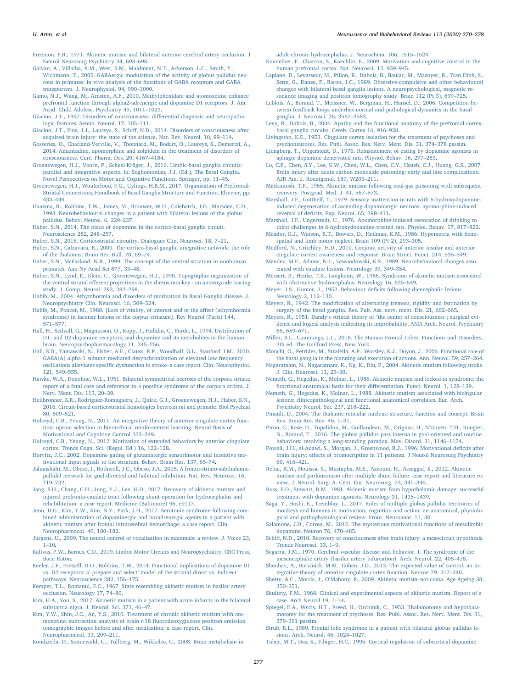- <span id="page-8-14"></span>[Freemon, F.R., 1971. Akinetic mutism and bilateral anterior cerebral artery occlusion. J](http://refhub.elsevier.com/S0149-7634(19)30144-7/sbref0215) [Neurol Neurosurg Psychiatry 34, 693](http://refhub.elsevier.com/S0149-7634(19)30144-7/sbref0215)–698.
- <span id="page-8-61"></span>[Galvan, A., Villalba, R.M., West, S.M., Maidment, N.T., Ackerson, L.C., Smith, Y.,](http://refhub.elsevier.com/S0149-7634(19)30144-7/sbref0220) [Wichmann, T., 2005. GABAergic modulation of the activity of globus pallidus neu](http://refhub.elsevier.com/S0149-7634(19)30144-7/sbref0220)[rons in primates: in vivo analysis of the functions of GABA receptors and GABA](http://refhub.elsevier.com/S0149-7634(19)30144-7/sbref0220) [transporters. J. Neurophysiol. 94, 990](http://refhub.elsevier.com/S0149-7634(19)30144-7/sbref0220)–1000.
- <span id="page-8-58"></span>[Gamo, N.J., Wang, M., Arnsten, A.F., 2010. Methylphenidate and atomoxetine enhance](http://refhub.elsevier.com/S0149-7634(19)30144-7/sbref0225) [prefrontal function through alpha2-adrenergic and dopamine D1 receptors. J. Am.](http://refhub.elsevier.com/S0149-7634(19)30144-7/sbref0225) [Acad. Child Adolesc. Psychiatry 49, 1011](http://refhub.elsevier.com/S0149-7634(19)30144-7/sbref0225)–1023.
- <span id="page-8-3"></span>[Giacino, J.T., 1997. Disorders of consciousness: di](http://refhub.elsevier.com/S0149-7634(19)30144-7/sbref0230)fferential diagnosis and neuropatho[logic features. Semin. Neurol. 17, 105](http://refhub.elsevier.com/S0149-7634(19)30144-7/sbref0230)–111.
- <span id="page-8-2"></span>Giacino, J.T., Fins, J.J., Laureys, S., Schiff[, N.D., 2014. Disorders of consciousness after](http://refhub.elsevier.com/S0149-7634(19)30144-7/sbref0235) [acquired brain injury: the state of the science. Nat. Rev. Neurol. 10, 99](http://refhub.elsevier.com/S0149-7634(19)30144-7/sbref0235)–114.
- <span id="page-8-59"></span>[Gosseries, O., Charland-Verville, V., Thonnard, M., Bodart, O., Laureys, S., Demertzi, A.,](http://refhub.elsevier.com/S0149-7634(19)30144-7/sbref0240) [2014. Amantadine, apomorphine and zolpidem in the treatment of disorders of](http://refhub.elsevier.com/S0149-7634(19)30144-7/sbref0240) [consciousness. Curr. Pharm. Des. 20, 4167](http://refhub.elsevier.com/S0149-7634(19)30144-7/sbref0240)–4184.
- <span id="page-8-20"></span>[Groenewegen, H.J., Voorn, P., Scheel-Krüger, J., 2016. Limbic-basal ganglia circuits:](http://refhub.elsevier.com/S0149-7634(19)30144-7/sbref0245) [parallel and integrative aspects. In: Soghomonian, J.J. \(Ed.\), The Basal Ganglia.](http://refhub.elsevier.com/S0149-7634(19)30144-7/sbref0245) [Novel Perspectives on Motor and Cognitive Functions. Springer, pp. 11](http://refhub.elsevier.com/S0149-7634(19)30144-7/sbref0245)–45.
- <span id="page-8-18"></span>[Groenewegen, H.J., Wouterlood, F.G., Uylings, H.B.M., 2017. Organization of Prefrontal-](http://refhub.elsevier.com/S0149-7634(19)30144-7/sbref0250)[Striatal Connections, Handbook of Basal Ganglia Structure and Function. Elsevier, pp.](http://refhub.elsevier.com/S0149-7634(19)30144-7/sbref0250) 433–[449](http://refhub.elsevier.com/S0149-7634(19)30144-7/sbref0250).
- <span id="page-8-44"></span>[Haaxma, R., Robbins, T.W., James, M., Brouwer, W.H., Colebatch, J.G., Marsden, C.D.,](http://refhub.elsevier.com/S0149-7634(19)30144-7/sbref0255) [1993. Neurobehavioural changes in a patient with bilateral lesions of the globus](http://refhub.elsevier.com/S0149-7634(19)30144-7/sbref0255) [pallidus. Behav. Neurol. 6, 229](http://refhub.elsevier.com/S0149-7634(19)30144-7/sbref0255)–237.
- <span id="page-8-31"></span>[Haber, S.N., 2014. The place of dopamine in the cortico-basal ganglia circuit.](http://refhub.elsevier.com/S0149-7634(19)30144-7/sbref0260) [Neuroscience 282, 248](http://refhub.elsevier.com/S0149-7634(19)30144-7/sbref0260)–257.
- <span id="page-8-49"></span><span id="page-8-9"></span>[Haber, S.N., 2016. Corticostriatal circuitry. Dialogues Clin. Neurosci. 18, 7](http://refhub.elsevier.com/S0149-7634(19)30144-7/sbref0265)–21. [Haber, S.N., Calzavara, R., 2009. The cortico-basal ganglia integrative network: the role](http://refhub.elsevier.com/S0149-7634(19)30144-7/sbref0270)
- <span id="page-8-21"></span>[of the thalamus. Brain Res. Bull. 78, 69](http://refhub.elsevier.com/S0149-7634(19)30144-7/sbref0270)–74. [Haber, S.N., McFarland, N.R., 1999. The concept of the ventral striatum in nonhuman](http://refhub.elsevier.com/S0149-7634(19)30144-7/sbref0275)
- [primates. Ann Ny Acad Sci 877, 33](http://refhub.elsevier.com/S0149-7634(19)30144-7/sbref0275)–48.
- <span id="page-8-22"></span>[Haber, S.N., Lynd, E., Klein, C., Groenewegen, H.J., 1990. Topographic organization of](http://refhub.elsevier.com/S0149-7634(19)30144-7/sbref0280) the ventral striatal eff[erent projections in the rhesus-monkey - an anterograde tracing](http://refhub.elsevier.com/S0149-7634(19)30144-7/sbref0280) [study. J. Comp. Neurol. 293, 282](http://refhub.elsevier.com/S0149-7634(19)30144-7/sbref0280)–298.
- <span id="page-8-26"></span>[Habib, M., 2004. Athymhormia and disorders of motivation in Basal Ganglia disease. J.](http://refhub.elsevier.com/S0149-7634(19)30144-7/sbref0285) [Neuropsychiatry Clin. Neurosci. 16, 509](http://refhub.elsevier.com/S0149-7634(19)30144-7/sbref0285)–524.
- <span id="page-8-27"></span>[Habib, M., Poncet, M., 1988. \[Loss of vitality, of interest and of the a](http://refhub.elsevier.com/S0149-7634(19)30144-7/sbref0290)ffect (athymhormia [syndrome\) in lacunar lesions of the corpus striatum\]. Rev Neurol \(Paris\) 144,](http://refhub.elsevier.com/S0149-7634(19)30144-7/sbref0290) 571–[577](http://refhub.elsevier.com/S0149-7634(19)30144-7/sbref0290).
- <span id="page-8-55"></span>[Hall, H., Sedvall, G., Magnusson, O., Kopp, J., Halldin, C., Farde, L., 1994. Distribution of](http://refhub.elsevier.com/S0149-7634(19)30144-7/sbref0295) [D1- and D2-dopamine receptors, and dopamine and its metabolites in the human](http://refhub.elsevier.com/S0149-7634(19)30144-7/sbref0295)
- <span id="page-8-63"></span>[brain. Neuropsychopharmacology 11, 245](http://refhub.elsevier.com/S0149-7634(19)30144-7/sbref0295)–256. [Hall, S.D., Yamawaki, N., Fisher, A.E., Clauss, R.P., Woodhall, G.L., Stanford, I.M., 2010.](http://refhub.elsevier.com/S0149-7634(19)30144-7/sbref0300) GABA(A) [alpha-1 subunit mediated desynchronization of elevated low frequency](http://refhub.elsevier.com/S0149-7634(19)30144-7/sbref0300) oscillations alleviates specific dysfunction in stroke–[a case report. Clin. Neurophysiol.](http://refhub.elsevier.com/S0149-7634(19)30144-7/sbref0300) [121, 549](http://refhub.elsevier.com/S0149-7634(19)30144-7/sbref0300)–555.
- <span id="page-8-23"></span>[Hawke, W.A., Donohue, W.L., 1951. Bilateral symmetrical necrosis of the corpora striata;](http://refhub.elsevier.com/S0149-7634(19)30144-7/sbref0305) [report of a fatal case and reference to a possible syndrome of the corpora striata. J.](http://refhub.elsevier.com/S0149-7634(19)30144-7/sbref0305) [Nerv. Ment. Dis. 113, 20](http://refhub.elsevier.com/S0149-7634(19)30144-7/sbref0305)–39.
- <span id="page-8-19"></span>[Heilbronner, S.R., Rodriguez-Romaguera, J., Quirk, G.J., Groenewegen, H.J., Haber, S.N.,](http://refhub.elsevier.com/S0149-7634(19)30144-7/sbref0310) [2016. Circuit-based corticostriatal homologies between rat and primate. Biol Psychiat](http://refhub.elsevier.com/S0149-7634(19)30144-7/sbref0310) [80, 509](http://refhub.elsevier.com/S0149-7634(19)30144-7/sbref0310)–521.
- <span id="page-8-65"></span>[Holroyd, C.B., Yeung, N., 2011. An integrative theory of anterior cingulate cortex func](http://refhub.elsevier.com/S0149-7634(19)30144-7/sbref0315)[tion: option selection in hierarchical reinforcement learning. Neural Basis of](http://refhub.elsevier.com/S0149-7634(19)30144-7/sbref0315) [Motivational and Cognitive Control 333](http://refhub.elsevier.com/S0149-7634(19)30144-7/sbref0315)–349.
- <span id="page-8-10"></span>[Holroyd, C.B., Yeung, N., 2012. Motivation of extended behaviors by anterior cingulate](http://refhub.elsevier.com/S0149-7634(19)30144-7/sbref0320) [cortex. Trends Cogn. Sci. \(Regul. Ed.\) 16, 122](http://refhub.elsevier.com/S0149-7634(19)30144-7/sbref0320)–128.
- <span id="page-8-35"></span>[Horvitz, J.C., 2002. Dopamine gating of glutamatergic sensorimotor and incentive mo](http://refhub.elsevier.com/S0149-7634(19)30144-7/sbref0325)[tivational input signals to the striatum. Behav. Brain Res. 137, 65](http://refhub.elsevier.com/S0149-7634(19)30144-7/sbref0325)–74.
- <span id="page-8-66"></span>[Jahanshahi, M., Obeso, I., Rothwell, J.C., Obeso, J.A., 2015. A fronto-striato-subthalamic](http://refhub.elsevier.com/S0149-7634(19)30144-7/sbref0330)[pallidal network for goal-directed and habitual inhibition. Nat. Rev. Neurosci. 16,](http://refhub.elsevier.com/S0149-7634(19)30144-7/sbref0330) 719–[732](http://refhub.elsevier.com/S0149-7634(19)30144-7/sbref0330).
- <span id="page-8-29"></span>[Jang, S.H., Chang, C.H., Jung, Y.J., Lee, H.D., 2017. Recovery of akinetic mutism and](http://refhub.elsevier.com/S0149-7634(19)30144-7/sbref0335) [injured prefronto-caudate tract following shunt operation for hydrocephalus and](http://refhub.elsevier.com/S0149-7634(19)30144-7/sbref0335) [rehabilitation: a case report. Medicine \(Baltimore\) 96, e9117.](http://refhub.elsevier.com/S0149-7634(19)30144-7/sbref0335)
- <span id="page-8-69"></span>[Jeon, D.G., Kim, Y.W., Kim, N.Y., Park, J.H., 2017. Serotonin syndrome following com](http://refhub.elsevier.com/S0149-7634(19)30144-7/sbref0340)[bined administration of dopaminergic and noradrenergic agents in a patient with](http://refhub.elsevier.com/S0149-7634(19)30144-7/sbref0340) [akinetic mutism after frontal intracerebral hemorrhage: a case report. Clin.](http://refhub.elsevier.com/S0149-7634(19)30144-7/sbref0340) [Neuropharmacol. 40, 180](http://refhub.elsevier.com/S0149-7634(19)30144-7/sbref0340)–182.
- <span id="page-8-11"></span>[Jurgens, U., 2009. The neural control of vocalization in mammals: a review. J. Voice 23,](http://refhub.elsevier.com/S0149-7634(19)30144-7/sbref0345) 1–[10](http://refhub.elsevier.com/S0149-7634(19)30144-7/sbref0345).
- <span id="page-8-8"></span>[Kalivas, P.W., Barnes, C.D., 2019. Limbic Motor Circuits and Neuropsychiatry. CRC Press,](http://refhub.elsevier.com/S0149-7634(19)30144-7/sbref0350) [Boca Raton.](http://refhub.elsevier.com/S0149-7634(19)30144-7/sbref0350)
- <span id="page-8-54"></span>[Keeler, J.F., Pretsell, D.O., Robbins, T.W., 2014. Functional implications of dopamine D1](http://refhub.elsevier.com/S0149-7634(19)30144-7/sbref0355) vs. D2 receptors: a' prepare and select' [model of the striatal direct vs. Indirect](http://refhub.elsevier.com/S0149-7634(19)30144-7/sbref0355) [pathways. Neuroscience 282, 156](http://refhub.elsevier.com/S0149-7634(19)30144-7/sbref0355)–175.
- <span id="page-8-6"></span>[Kemper, T.L., Romanul, F.C., 1967. State resembling akinetic mutism in basilar artery](http://refhub.elsevier.com/S0149-7634(19)30144-7/sbref0360) [occlusion. Neurology 17, 74](http://refhub.elsevier.com/S0149-7634(19)30144-7/sbref0360)–80.
- <span id="page-8-32"></span>[Kim, H.A., You, S., 2017. Akinetic mutism in a patient with acute infarcts in the bilateral](http://refhub.elsevier.com/S0149-7634(19)30144-7/sbref0365) [substantia nigra. J. Neurol. Sci. 373, 46](http://refhub.elsevier.com/S0149-7634(19)30144-7/sbref0365)–47.
- <span id="page-8-56"></span>[Kim, Y.W., Shin, J.C., An, Y.S., 2010. Treatment of chronic akinetic mutism with ato](http://refhub.elsevier.com/S0149-7634(19)30144-7/sbref0370)[moxetine: subtraction analysis of brain f-18](http://refhub.elsevier.com/S0149-7634(19)30144-7/sbref0370) fluorodeoxyglucose positron emission [tomographic images before and after medication: a case report. Clin.](http://refhub.elsevier.com/S0149-7634(19)30144-7/sbref0370) [Neuropharmacol. 33, 209](http://refhub.elsevier.com/S0149-7634(19)30144-7/sbref0370)–211.

<span id="page-8-42"></span>[Kondziella, D., Sonnewald, U., Tullberg, M., Wikkelso, C., 2008. Brain metabolism in](http://refhub.elsevier.com/S0149-7634(19)30144-7/sbref0375)

<span id="page-8-64"></span>[adult chronic hydrocephalus. J. Neurochem. 106, 1515](http://refhub.elsevier.com/S0149-7634(19)30144-7/sbref0375)–1524. [Kouneiher, F., Charron, S., Koechlin, E., 2009. Motivation and cognitive control in the](http://refhub.elsevier.com/S0149-7634(19)30144-7/sbref0380)

- <span id="page-8-43"></span>[human prefrontal cortex. Nat. Neurosci. 12, 939](http://refhub.elsevier.com/S0149-7634(19)30144-7/sbref0380)–945. [Laplane, D., Levasseur, M., Pillon, B., Dubois, B., Baulac, M., Mazoyer, B., Tran Dinh, S.,](http://refhub.elsevier.com/S0149-7634(19)30144-7/sbref0385)
- Sette, [G., Danze, F., Baron, J.C., 1989. Obsessive-compulsive and other behavioural](http://refhub.elsevier.com/S0149-7634(19)30144-7/sbref0385) [changes with bilateral basal ganglia lesions. A neuropsychological, magnetic re](http://refhub.elsevier.com/S0149-7634(19)30144-7/sbref0385)[sonance imaging and positron tomography study. Brain 112 \(Pt 3\), 699](http://refhub.elsevier.com/S0149-7634(19)30144-7/sbref0385)–725.
- <span id="page-8-67"></span>[Leblois, A., Boraud, T., Meissner, W., Bergman, H., Hansel, D., 2006. Competition be](http://refhub.elsevier.com/S0149-7634(19)30144-7/sbref0390)[tween feedback loops underlies normal and pathological dynamics in the basal](http://refhub.elsevier.com/S0149-7634(19)30144-7/sbref0390) [ganglia. J. Neurosci. 26, 3567](http://refhub.elsevier.com/S0149-7634(19)30144-7/sbref0390)–3583.
- <span id="page-8-24"></span>[Levy, R., Dubois, B., 2006. Apathy and the functional anatomy of the prefrontal cortex](http://refhub.elsevier.com/S0149-7634(19)30144-7/sbref0395)[basal ganglia circuits. Cereb. Cortex 16, 916](http://refhub.elsevier.com/S0149-7634(19)30144-7/sbref0395)–928.
- <span id="page-8-15"></span>[Livingston, K.E., 1953. Cingulate cortex isolation for the treatment of psychoses and](http://refhub.elsevier.com/S0149-7634(19)30144-7/sbref0400) [psychoneuroses. Res. Publ. Assoc. Res. Nerv. Ment. Dis. 31, 374](http://refhub.elsevier.com/S0149-7634(19)30144-7/sbref0400)–378 passim.
- <span id="page-8-37"></span>[Ljungberg, T., Ungerstedt, U., 1976. Reinstatement of eating by dopamine agonists in](http://refhub.elsevier.com/S0149-7634(19)30144-7/sbref0405) [aphagic dopamine denervated rats. Physiol. Behav. 16, 277](http://refhub.elsevier.com/S0149-7634(19)30144-7/sbref0405)–283.
- <span id="page-8-47"></span>[Lo, C.P., Chen, S.Y., Lee, K.W., Chen, W.L., Chen, C.Y., Hsueh, C.J., Huang, G.S., 2007.](http://refhub.elsevier.com/S0149-7634(19)30144-7/sbref0410) [Brain injury after acute carbon monoxide poisoning: early and late complications.](http://refhub.elsevier.com/S0149-7634(19)30144-7/sbref0410) [AJR Am. J. Roentgenol. 189, W205](http://refhub.elsevier.com/S0149-7634(19)30144-7/sbref0410)–211.
- <span id="page-8-46"></span>[Mackintosh, T.F., 1965. Akinetic mutism following coal-gas poisoning with subsequent](http://refhub.elsevier.com/S0149-7634(19)30144-7/sbref0415) [recovery. Postgrad. Med. J. 41, 567](http://refhub.elsevier.com/S0149-7634(19)30144-7/sbref0415)–573.
- <span id="page-8-38"></span>[Marshall, J.F., Gotthelf, T., 1979. Sensory inattention in rats with 6-hydroxydopamine](http://refhub.elsevier.com/S0149-7634(19)30144-7/sbref0420)[induced degeneration of ascending dopaminergic neurons: apomorphine-induced](http://refhub.elsevier.com/S0149-7634(19)30144-7/sbref0420) reversal of defi[cits. Exp. Neurol. 65, 398](http://refhub.elsevier.com/S0149-7634(19)30144-7/sbref0420)–411.
- <span id="page-8-39"></span>[Marshall, J.F., Ungerstedt, U., 1976. Apomorphine-induced restoration of drinking to](http://refhub.elsevier.com/S0149-7634(19)30144-7/sbref0425) [thirst challenges in 6-hydroxydopamine-treated rats. Physiol. Behav. 17, 817](http://refhub.elsevier.com/S0149-7634(19)30144-7/sbref0425)–822.
- <span id="page-8-17"></span>[Meador, K.J., Watson, R.T., Bowers, D., Heilman, K.M., 1986. Hypometria with hemi](http://refhub.elsevier.com/S0149-7634(19)30144-7/sbref0430)[spatial and limb motor neglect. Brain 109 \(Pt 2\), 293](http://refhub.elsevier.com/S0149-7634(19)30144-7/sbref0430)–305.
- <span id="page-8-12"></span>[Medford, N., Critchley, H.D., 2010. Conjoint activity of anterior insular and anterior](http://refhub.elsevier.com/S0149-7634(19)30144-7/sbref0435) [cingulate cortex: awareness and response. Brain Struct. Funct. 214, 535](http://refhub.elsevier.com/S0149-7634(19)30144-7/sbref0435)–549.
- <span id="page-8-28"></span>[Mendez, M.F., Adams, N.L., Lewandowski, K.S., 1989. Neurobehavioral changes asso](http://refhub.elsevier.com/S0149-7634(19)30144-7/sbref0440)[ciated with caudate lesions. Neurology 39, 349](http://refhub.elsevier.com/S0149-7634(19)30144-7/sbref0440)–354.
- <span id="page-8-40"></span>[Messert, B., Henke, T.K., Langheim, W., 1966. Syndrome of akinetic mutism associated](http://refhub.elsevier.com/S0149-7634(19)30144-7/sbref0445) [with obstructive hydrocephalus. Neurology 16, 635](http://refhub.elsevier.com/S0149-7634(19)30144-7/sbref0445)–649.
- <span id="page-8-51"></span>[Meyer, J.S., Hunter, J., 1952. Behaviour de](http://refhub.elsevier.com/S0149-7634(19)30144-7/sbref0450)ficits following diencephalic lesions. [Neurology 2, 112](http://refhub.elsevier.com/S0149-7634(19)30144-7/sbref0450)–130.
- <span id="page-8-30"></span>Meyers, R., 1942. The modifi[cation of alternating tremors, rigidity and festination by](http://refhub.elsevier.com/S0149-7634(19)30144-7/sbref0455) [surgery of the basal ganglia. Res. Pub. Ass. nerv. ment. Dis. 21, 602](http://refhub.elsevier.com/S0149-7634(19)30144-7/sbref0455)–665.

<span id="page-8-16"></span>Meyers, R., 1951. Dandy'[s striatal theory of "the center of consciousness"; surgical evi](http://refhub.elsevier.com/S0149-7634(19)30144-7/sbref0460)[dence and logical analysis indicating its improbability. AMA Arch. Neurol. Psychiatry](http://refhub.elsevier.com/S0149-7634(19)30144-7/sbref0460) [65, 659](http://refhub.elsevier.com/S0149-7634(19)30144-7/sbref0460)–671.

<span id="page-8-0"></span>[Miller, B.L., Cummings, J.L., 2018. The Human Frontal Lobes: Functions and Disorders,](http://refhub.elsevier.com/S0149-7634(19)30144-7/sbref0465) [3th ed. The Guilford Press, New York.](http://refhub.elsevier.com/S0149-7634(19)30144-7/sbref0465)

<span id="page-8-25"></span>[Monchi, O., Petrides, M., Strafella, A.P., Worsley, K.J., Doyon, J., 2006. Functional role of](http://refhub.elsevier.com/S0149-7634(19)30144-7/sbref0470) [the basal ganglia in the planning and execution of actions. Ann. Neurol. 59, 257](http://refhub.elsevier.com/S0149-7634(19)30144-7/sbref0470)–264.

<span id="page-8-4"></span>Nagaratnam, [N., Nagaratnam, K., Ng, K., Diu, P., 2004. Akinetic mutism following stroke.](http://refhub.elsevier.com/S0149-7634(19)30144-7/sbref0475) [J. Clin. Neurosci. 11, 25](http://refhub.elsevier.com/S0149-7634(19)30144-7/sbref0475)–30.

- <span id="page-8-33"></span>[Nemeth, G., Hegedus, K., Molnar, L., 1986. Akinetic mutism and locked-in syndrome: the](http://refhub.elsevier.com/S0149-7634(19)30144-7/sbref0480) [functional-anatomical basis for their di](http://refhub.elsevier.com/S0149-7634(19)30144-7/sbref0480)fferentiation. Funct. Neurol. 1, 128–139.
- <span id="page-8-7"></span>[Nemeth, G., Hegedus, K., Molnar, L., 1988. Akinetic mutism associated with bicingular](http://refhub.elsevier.com/S0149-7634(19)30144-7/sbref0485) [lesions: clinicopathological and functional anatomical correlates. Eur. Arch.](http://refhub.elsevier.com/S0149-7634(19)30144-7/sbref0485)
- <span id="page-8-62"></span>[Psychiatry Neurol. Sci. 237, 218](http://refhub.elsevier.com/S0149-7634(19)30144-7/sbref0485)–222. [Pinault, D., 2004. The thalamic reticular nucleus: structure, function and concept. Brain](http://refhub.elsevier.com/S0149-7634(19)30144-7/sbref0490)
- <span id="page-8-68"></span>[Res. Brain Res. Rev. 46, 1](http://refhub.elsevier.com/S0149-7634(19)30144-7/sbref0490)–31. [Piron, C., Kase, D., Topalidou, M., Goillandeau, M., Orignac, H., N](http://refhub.elsevier.com/S0149-7634(19)30144-7/sbref0495)'Guyen, T.H., Rougier, [N., Boraud, T., 2016. The globus pallidus pars interna in goal-oriented and routine](http://refhub.elsevier.com/S0149-7634(19)30144-7/sbref0495) [behaviors: resolving a long-standing paradox. Mov. Disord. 31, 1146](http://refhub.elsevier.com/S0149-7634(19)30144-7/sbref0495)–1154.
- <span id="page-8-53"></span>[Powell, J.H., al-Adawi, S., Morgan, J., Greenwood, R.J., 1996. Motivational de](http://refhub.elsevier.com/S0149-7634(19)30144-7/sbref0500)ficits after brain injury: eff[ects of bromocriptine in 11 patients. J Neurol Neurosurg Psychiatry](http://refhub.elsevier.com/S0149-7634(19)30144-7/sbref0500) [60, 416](http://refhub.elsevier.com/S0149-7634(19)30144-7/sbref0500)–421.
- <span id="page-8-41"></span>[Rebai, R.M., Houissa, S., Mustapha, M.E., Azzouni, H., Assaggaf, S., 2012. Akinetic](http://refhub.elsevier.com/S0149-7634(19)30144-7/sbref0505)
- [mutism and parkinsonism after multiple shunt failure: case report and literature re](http://refhub.elsevier.com/S0149-7634(19)30144-7/sbref0505)[view. J. Neurol. Surg. A. Cent. Eur. Neurosurg. 73, 341](http://refhub.elsevier.com/S0149-7634(19)30144-7/sbref0505)–346.
- <span id="page-8-36"></span>[Ross, E.D., Stewart, R.M., 1981. Akinetic mutism from hypothalamic damage: successful](http://refhub.elsevier.com/S0149-7634(19)30144-7/sbref0510) [treatment with dopamine agonists. Neurology 31, 1435](http://refhub.elsevier.com/S0149-7634(19)30144-7/sbref0510)–1439.
- <span id="page-8-48"></span>[Saga, Y., Hoshi, E., Tremblay, L., 2017. Roles of multiple globus pallidus territories of](http://refhub.elsevier.com/S0149-7634(19)30144-7/sbref0515) [monkeys and humans in motivation, cognition and action: an anatomical, physiolo](http://refhub.elsevier.com/S0149-7634(19)30144-7/sbref0515)[gical and pathophysiological review. Front. Neuroanat. 11, 30.](http://refhub.elsevier.com/S0149-7634(19)30144-7/sbref0515)
- <span id="page-8-34"></span>[Salamone, J.D., Correa, M., 2012. The mysterious motivational functions of mesolimbic](http://refhub.elsevier.com/S0149-7634(19)30144-7/sbref0520) [dopamine. Neuron 76, 470](http://refhub.elsevier.com/S0149-7634(19)30144-7/sbref0520)–485.
- <span id="page-8-60"></span>Schiff[, N.D., 2010. Recovery of consciousness after brain injury: a mesocircuit hypothesis.](http://refhub.elsevier.com/S0149-7634(19)30144-7/sbref0525) [Trends Neurosci. 33, 1](http://refhub.elsevier.com/S0149-7634(19)30144-7/sbref0525)–9.
- <span id="page-8-50"></span>[Segarra, J.M., 1970. Cerebral vascular disease and behavior. I. The syndrome of the](http://refhub.elsevier.com/S0149-7634(19)30144-7/sbref0530) [mesencephalic artery \(basilar artery bifurcation\). Arch. Neurol. 22, 408](http://refhub.elsevier.com/S0149-7634(19)30144-7/sbref0530)–418.
- <span id="page-8-13"></span>[Shenhav, A., Botvinick, M.M., Cohen, J.D., 2013. The expected value of control: an in](http://refhub.elsevier.com/S0149-7634(19)30144-7/sbref0535)[tegrative theory of anterior cingulate cortex function. Neuron 79, 217](http://refhub.elsevier.com/S0149-7634(19)30144-7/sbref0535)–240.
- <span id="page-8-5"></span>Shetty, A.C., Morris, J., O'[Mahony, P., 2009. Akinetic mutism](http://refhub.elsevier.com/S0149-7634(19)30144-7/sbref0540)–not coma. Age Ageing 38, 350–[351](http://refhub.elsevier.com/S0149-7634(19)30144-7/sbref0540).
- <span id="page-8-1"></span>[Skultety, F.M., 1968. Clinical and experimental aspects of akinetic mutism. Report of a](http://refhub.elsevier.com/S0149-7634(19)30144-7/sbref0545) [case. Arch Neurol 19, 1](http://refhub.elsevier.com/S0149-7634(19)30144-7/sbref0545)–14.
- <span id="page-8-52"></span>[Spiegel, E.A., Wycis, H.T., Freed, H., Orchinik, C., 1953. Thalamotomy and hypothala](http://refhub.elsevier.com/S0149-7634(19)30144-7/sbref0550)[motomy for the treatment of psychoses. Res. Publ. Assoc. Res. Nerv. Ment. Dis. 31,](http://refhub.elsevier.com/S0149-7634(19)30144-7/sbref0550) 379–[391 passim.](http://refhub.elsevier.com/S0149-7634(19)30144-7/sbref0550)

<span id="page-8-45"></span>[Strub, R.L., 1989. Frontal lobe syndrome in a patient with bilateral globus pallidus le](http://refhub.elsevier.com/S0149-7634(19)30144-7/sbref0555)[sions. Arch. Neurol. 46, 1024](http://refhub.elsevier.com/S0149-7634(19)30144-7/sbref0555)–1027.

<span id="page-8-57"></span>Taber, [M.T., Das, S., Fibiger, H.C., 1995. Cortical regulation of subcortical dopamine](http://refhub.elsevier.com/S0149-7634(19)30144-7/sbref0560)